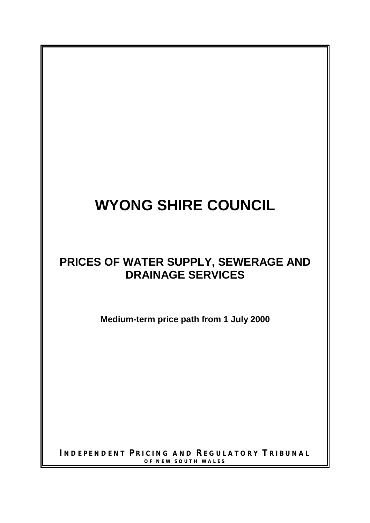# **WYONG SHIRE COUNCIL**

# **PRICES OF WATER SUPPLY, SEWERAGE AND DRAINAGE SERVICES**

**Medium-term price path from 1 July 2000**

**I NDEPENDENT P RICING AND REGULATORY T RIBUNAL OF NEW SOUTH WALES**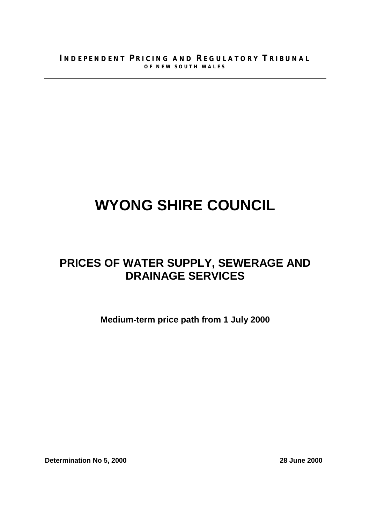# **WYONG SHIRE COUNCIL**

# **PRICES OF WATER SUPPLY, SEWERAGE AND DRAINAGE SERVICES**

**Medium-term price path from 1 July 2000**

**Determination No 5, 2000** 28 June 2000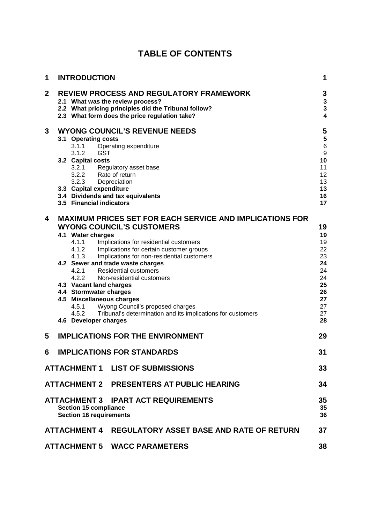| 1           | <b>INTRODUCTION</b>                                                                                                        |                                                                                                                                                                                                                                                                                                                                                                                                                                                                                                                                | 1                                                                                |
|-------------|----------------------------------------------------------------------------------------------------------------------------|--------------------------------------------------------------------------------------------------------------------------------------------------------------------------------------------------------------------------------------------------------------------------------------------------------------------------------------------------------------------------------------------------------------------------------------------------------------------------------------------------------------------------------|----------------------------------------------------------------------------------|
| $\mathbf 2$ |                                                                                                                            | <b>REVIEW PROCESS AND REGULATORY FRAMEWORK</b><br>2.1 What was the review process?<br>2.2 What pricing principles did the Tribunal follow?<br>2.3 What form does the price regulation take?                                                                                                                                                                                                                                                                                                                                    | 3<br>3<br>$\overline{\mathbf{3}}$<br>$\overline{\mathbf{4}}$                     |
| 3           | 3.1 Operating costs<br>3.1.1<br>3.1.2<br>3.2 Capital costs<br>3.2.3<br>3.3 Capital expenditure<br>3.5 Financial indicators | <b>WYONG COUNCIL'S REVENUE NEEDS</b><br>Operating expenditure<br><b>GST</b><br>3.2.1 Regulatory asset base<br>3.2.2 Rate of return<br>Depreciation<br>3.4 Dividends and tax equivalents                                                                                                                                                                                                                                                                                                                                        | 5<br>5<br>$6\phantom{a}$<br>9<br>10<br>11<br>12<br>13<br>13<br>16<br>17          |
| 4           | 4.1 Water charges<br>4.1.1<br>4.1.2<br>4.1.3<br>4.2.1<br>4.2.2<br>4.5.1<br>4.5.2<br>4.6 Developer charges                  | <b>MAXIMUM PRICES SET FOR EACH SERVICE AND IMPLICATIONS FOR</b><br><b>WYONG COUNCIL'S CUSTOMERS</b><br>Implications for residential customers<br>Implications for certain customer groups<br>Implications for non-residential customers<br>4.2 Sewer and trade waste charges<br><b>Residential customers</b><br>Non-residential customers<br>4.3 Vacant land charges<br>4.4 Stormwater charges<br>4.5 Miscellaneous charges<br>Wyong Council's proposed charges<br>Tribunal's determination and its implications for customers | 19<br>19<br>19<br>22<br>23<br>24<br>24<br>24<br>25<br>26<br>27<br>27<br>27<br>28 |
| 5           |                                                                                                                            | <b>IMPLICATIONS FOR THE ENVIRONMENT</b>                                                                                                                                                                                                                                                                                                                                                                                                                                                                                        | 29                                                                               |
| 6           |                                                                                                                            | <b>IMPLICATIONS FOR STANDARDS</b>                                                                                                                                                                                                                                                                                                                                                                                                                                                                                              | 31                                                                               |
|             | <b>ATTACHMENT 1</b>                                                                                                        | <b>LIST OF SUBMISSIONS</b>                                                                                                                                                                                                                                                                                                                                                                                                                                                                                                     | 33                                                                               |
|             |                                                                                                                            | ATTACHMENT 2 PRESENTERS AT PUBLIC HEARING                                                                                                                                                                                                                                                                                                                                                                                                                                                                                      | 34                                                                               |
|             | <b>ATTACHMENT 3</b><br><b>Section 15 compliance</b><br><b>Section 16 requirements</b>                                      | <b>IPART ACT REQUIREMENTS</b>                                                                                                                                                                                                                                                                                                                                                                                                                                                                                                  | 35<br>35<br>36                                                                   |
|             |                                                                                                                            | ATTACHMENT 4 REGULATORY ASSET BASE AND RATE OF RETURN                                                                                                                                                                                                                                                                                                                                                                                                                                                                          | 37                                                                               |
|             |                                                                                                                            | <b>ATTACHMENT 5 WACC PARAMETERS</b>                                                                                                                                                                                                                                                                                                                                                                                                                                                                                            | 38                                                                               |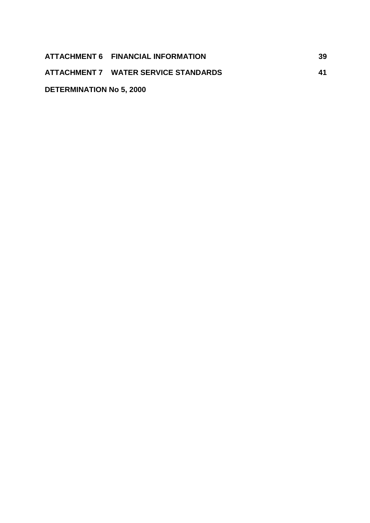|                                 | ATTACHMENT 6 FINANCIAL INFORMATION   | 39 |
|---------------------------------|--------------------------------------|----|
|                                 | ATTACHMENT 7 WATER SERVICE STANDARDS | 41 |
| <b>DETERMINATION No 5, 2000</b> |                                      |    |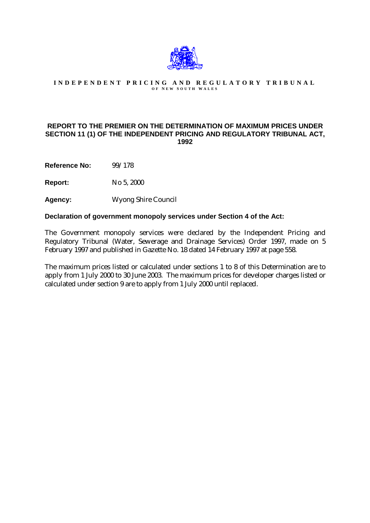

#### **INDEPENDENT PRICING AND REGULATORY TRIBUNAL O F N EW S OUTH W ALES**

#### **REPORT TO THE PREMIER ON THE DETERMINATION OF MAXIMUM PRICES UNDER SECTION 11 (1) OF THE INDEPENDENT PRICING AND REGULATORY TRIBUNAL ACT, 1992**

**Reference No:** 99/178

**Report:** No 5, 2000

**Agency:** Wyong Shire Council

#### **Declaration of government monopoly services under Section 4 of the Act:**

The Government monopoly services were declared by the Independent Pricing and Regulatory Tribunal (Water, Sewerage and Drainage Services) Order 1997, made on 5 February 1997 and published in Gazette No. 18 dated 14 February 1997 at page 558.

The maximum prices listed or calculated under sections 1 to 8 of this Determination are to apply from 1 July 2000 to 30 June 2003. The maximum prices for developer charges listed or calculated under section 9 are to apply from 1 July 2000 until replaced.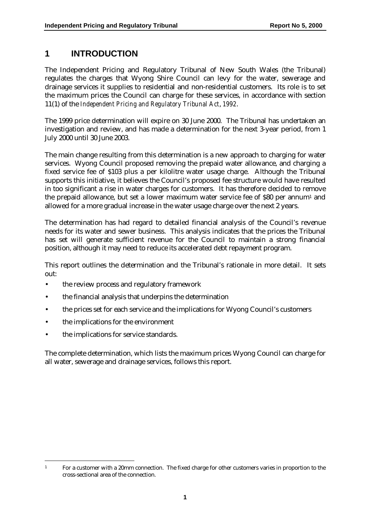### **1 INTRODUCTION**

The Independent Pricing and Regulatory Tribunal of New South Wales (the Tribunal) regulates the charges that Wyong Shire Council can levy for the water, sewerage and drainage services it supplies to residential and non-residential customers. Its role is to set the maximum prices the Council can charge for these services, in accordance with section 11(1) of the *Independent Pricing and Regulatory Tribunal Act*, *1992*.

The 1999 price determination will expire on 30 June 2000. The Tribunal has undertaken an investigation and review, and has made a determination for the next 3-year period, from 1 July 2000 until 30 June 2003.

The main change resulting from this determination is a new approach to charging for water services. Wyong Council proposed removing the prepaid water allowance, and charging a fixed service fee of \$103 plus a per kilolitre water usage charge. Although the Tribunal supports this initiative, it believes the Council's proposed fee structure would have resulted in too significant a rise in water charges for customers. It has therefore decided to remove the prepaid allowance, but set a lower maximum water service fee of \$80 per annum1 and allowed for a more gradual increase in the water usage charge over the next 2 years.

The determination has had regard to detailed financial analysis of the Council's revenue needs for its water and sewer business. This analysis indicates that the prices the Tribunal has set will generate sufficient revenue for the Council to maintain a strong financial position, although it may need to reduce its accelerated debt repayment program.

This report outlines the determination and the Tribunal's rationale in more detail. It sets out:

- the review process and regulatory framework
- the financial analysis that underpins the determination
- the prices set for each service and the implications for Wyong Council's customers
- the implications for the environment
- the implications for service standards.

 $\overline{a}$ 

The complete determination, which lists the maximum prices Wyong Council can charge for all water, sewerage and drainage services, follows this report.

<sup>&</sup>lt;sup>1</sup> For a customer with a 20mm connection. The fixed charge for other customers varies in proportion to the cross-sectional area of the connection.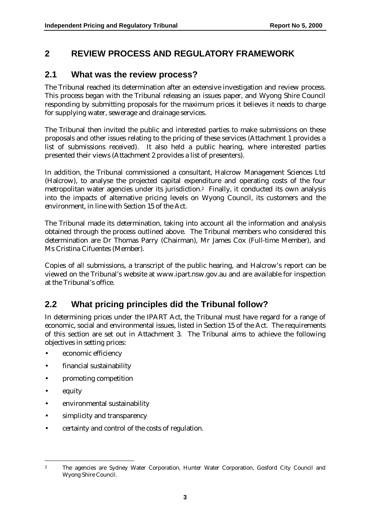# **2 REVIEW PROCESS AND REGULATORY FRAMEWORK**

### **2.1 What was the review process?**

The Tribunal reached its determination after an extensive investigation and review process. This process began with the Tribunal releasing an issues paper, and Wyong Shire Council responding by submitting proposals for the maximum prices it believes it needs to charge for supplying water, sewerage and drainage services.

The Tribunal then invited the public and interested parties to make submissions on these proposals and other issues relating to the pricing of these services (Attachment 1 provides a list of submissions received). It also held a public hearing, where interested parties presented their views (Attachment 2 provides a list of presenters).

In addition, the Tribunal commissioned a consultant, Halcrow Management Sciences Ltd (Halcrow), to analyse the projected capital expenditure and operating costs of the four metropolitan water agencies under its jurisdiction.2 Finally, it conducted its own analysis into the impacts of alternative pricing levels on Wyong Council, its customers and the environment, in line with Section 15 of the Act.

The Tribunal made its determination, taking into account all the information and analysis obtained through the process outlined above. The Tribunal members who considered this determination are Dr Thomas Parry (Chairman), Mr James Cox (Full-time Member), and Ms Cristina Cifuentes (Member).

Copies of all submissions, a transcript of the public hearing, and Halcrow's report can be viewed on the Tribunal's website at www.ipart.nsw.gov.au and are available for inspection at the Tribunal's office.

# **2.2 What pricing principles did the Tribunal follow?**

In determining prices under the IPART Act, the Tribunal must have regard for a range of economic, social and environmental issues, listed in Section 15 of the Act. The requirements of this section are set out in Attachment 3. The Tribunal aims to achieve the following objectives in setting prices:

- economic efficiency
- financial sustainability
- promoting competition
- equity
- environmental sustainability
- simplicity and transparency
- certainty and control of the costs of regulation.

 $\overline{a}$ <sup>2</sup> The agencies are Sydney Water Corporation, Hunter Water Corporation, Gosford City Council and Wyong Shire Council.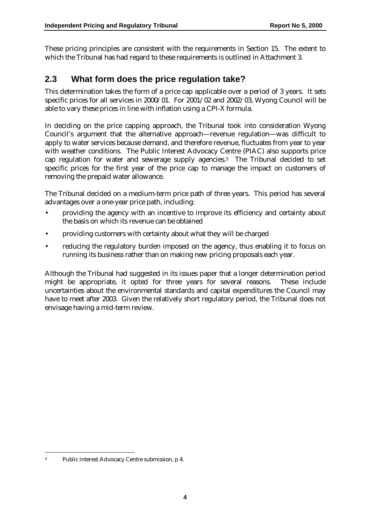These pricing principles are consistent with the requirements in Section 15. The extent to which the Tribunal has had regard to these requirements is outlined in Attachment 3.

### **2.3 What form does the price regulation take?**

This determination takes the form of a price cap applicable over a period of 3 years. It sets specific prices for all services in 2000/01. For 2001/02 and 2002/03, Wyong Council will be able to vary these prices in line with inflation using a CPI-X formula.

In deciding on the price capping approach, the Tribunal took into consideration Wyong Council's argument that the alternative approach—revenue regulation—was difficult to apply to water services because demand, and therefore revenue, fluctuates from year to year with weather conditions. The Public Interest Advocacy Centre (PIAC) also supports price cap regulation for water and sewerage supply agencies.3 The Tribunal decided to set specific prices for the first year of the price cap to manage the impact on customers of removing the prepaid water allowance.

The Tribunal decided on a medium-term price path of three years. This period has several advantages over a one-year price path, including:

- providing the agency with an incentive to improve its efficiency and certainty about the basis on which its revenue can be obtained
- providing customers with certainty about what they will be charged
- reducing the regulatory burden imposed on the agency, thus enabling it to focus on running its business rather than on making new pricing proposals each year.

Although the Tribunal had suggested in its issues paper that a longer determination period might be appropriate, it opted for three years for several reasons. These include uncertainties about the environmental standards and capital expenditures the Council may have to meet after 2003. Given the relatively short regulatory period, the Tribunal does not envisage having a mid-term review.

 $\overline{a}$ 

<sup>3</sup> Public Interest Advocacy Centre submission, p 4.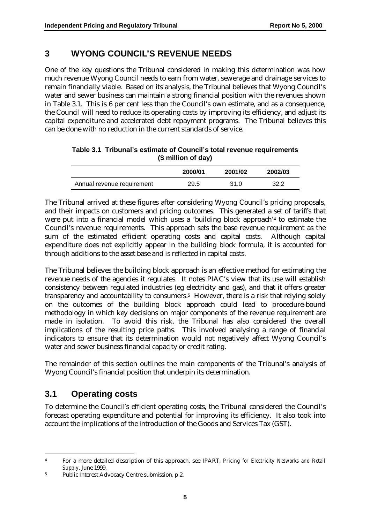### **3 WYONG COUNCIL'S REVENUE NEEDS**

One of the key questions the Tribunal considered in making this determination was how much revenue Wyong Council needs to earn from water, sewerage and drainage services to remain financially viable. Based on its analysis, the Tribunal believes that Wyong Council's water and sewer business can maintain a strong financial position with the revenues shown in Table 3.1. This is 6 per cent less than the Council's own estimate, and as a consequence, the Council will need to reduce its operating costs by improving its efficiency, and adjust its capital expenditure and accelerated debt repayment programs. The Tribunal believes this can be done with no reduction in the current standards of service.

| y minon or uay             |         |         |         |  |  |  |
|----------------------------|---------|---------|---------|--|--|--|
|                            | 2000/01 | 2001/02 | 2002/03 |  |  |  |
| Annual revenue requirement | 29.5    | 31 O    | 32.2    |  |  |  |

| Table 3.1 Tribunal's estimate of Council's total revenue requirements |
|-----------------------------------------------------------------------|
| (\$ million of day)                                                   |

The Tribunal arrived at these figures after considering Wyong Council's pricing proposals, and their impacts on customers and pricing outcomes. This generated a set of tariffs that were put into a financial model which uses a 'building block approach'4 to estimate the Council's revenue requirements. This approach sets the base revenue requirement as the sum of the estimated efficient operating costs and capital costs. Although capital expenditure does not explicitly appear in the building block formula, it is accounted for through additions to the asset base and is reflected in capital costs.

The Tribunal believes the building block approach is an effective method for estimating the revenue needs of the agencies it regulates. It notes PIAC's view that its use will establish consistency between regulated industries (eg electricity and gas), and that it offers greater transparency and accountability to consumers.5 However, there is a risk that relying solely on the outcomes of the building block approach could lead to procedure-bound methodology in which key decisions on major components of the revenue requirement are made in isolation. To avoid this risk, the Tribunal has also considered the overall implications of the resulting price paths. This involved analysing a range of financial indicators to ensure that its determination would not negatively affect Wyong Council's water and sewer business financial capacity or credit rating.

The remainder of this section outlines the main components of the Tribunal's analysis of Wyong Council's financial position that underpin its determination.

# **3.1 Operating costs**

 $\overline{a}$ 

To determine the Council's efficient operating costs, the Tribunal considered the Council's forecast operating expenditure and potential for improving its efficiency. It also took into account the implications of the introduction of the Goods and Services Tax (GST).

<sup>4</sup> For a more detailed description of this approach, see IPART, *Pricing for Electricity Networks and Retail Supply,* June 1999.

<sup>5</sup> Public Interest Advocacy Centre submission, p 2.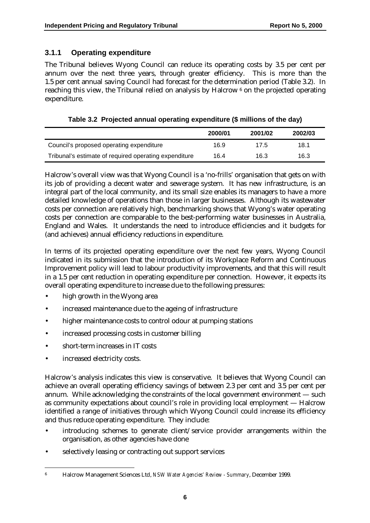### **3.1.1 Operating expenditure**

The Tribunal believes Wyong Council can reduce its operating costs by 3.5 per cent per annum over the next three years, through greater efficiency. This is more than the 1.5 per cent annual saving Council had forecast for the determination period (Table 3.2). In reaching this view, the Tribunal relied on analysis by Halcrow 6 on the projected operating expenditure.

**Table 3.2 Projected annual operating expenditure (\$ millions of the day)**

|                                                       | 2000/01 | 2001/02 | 2002/03 |
|-------------------------------------------------------|---------|---------|---------|
| Council's proposed operating expenditure              | 16.9    | 17.5    | 18.1    |
| Tribunal's estimate of required operating expenditure | 16.4    | 16.3    | 16.3    |

Halcrow's overall view was that Wyong Council is a 'no-frills' organisation that gets on with its job of providing a decent water and sewerage system. It has new infrastructure, is an integral part of the local community, and its small size enables its managers to have a more detailed knowledge of operations than those in larger businesses. Although its wastewater costs per connection are relatively high, benchmarking shows that Wyong's water operating costs per connection are comparable to the best-performing water businesses in Australia, England and Wales. It understands the need to introduce efficiencies and it budgets for (and achieves) annual efficiency reductions in expenditure.

In terms of its projected operating expenditure over the next few years, Wyong Council indicated in its submission that the introduction of its Workplace Reform and Continuous Improvement policy will lead to labour productivity improvements, and that this will result in a 1.5 per cent reduction in operating expenditure per connection. However, it expects its overall operating expenditure to increase due to the following pressures:

- high growth in the Wyong area
- increased maintenance due to the ageing of infrastructure
- higher maintenance costs to control odour at pumping stations
- increased processing costs in customer billing
- short-term increases in IT costs
- increased electricity costs.

Halcrow's analysis indicates this view is conservative. It believes that Wyong Council can achieve an overall operating efficiency savings of between 2.3 per cent and 3.5 per cent per annum. While acknowledging the constraints of the local government environment — such as community expectations about council's role in providing local employment — Halcrow identified a range of initiatives through which Wyong Council could increase its efficiency and thus reduce operating expenditure. They include:

- introducing schemes to generate client/service provider arrangements within the organisation, as other agencies have done
- selectively leasing or contracting out support services

 $\overline{a}$ 6 Halcrow Management Sciences Ltd, *NSW Water Agencies' Review - Summary*, December 1999.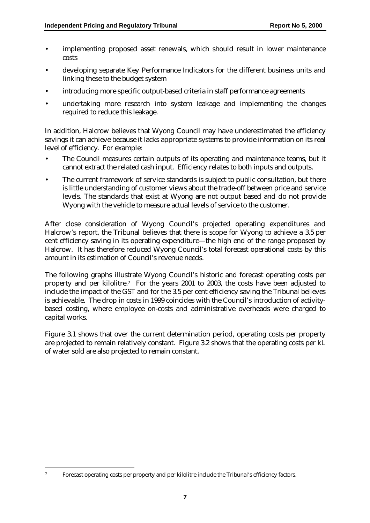- implementing proposed asset renewals, which should result in lower maintenance costs
- developing separate Key Performance Indicators for the different business units and linking these to the budget system
- introducing more specific output-based criteria in staff performance agreements
- undertaking more research into system leakage and implementing the changes required to reduce this leakage.

In addition, Halcrow believes that Wyong Council may have underestimated the efficiency savings it can achieve because it lacks appropriate systems to provide information on its real level of efficiency. For example:

- The Council measures certain outputs of its operating and maintenance teams, but it cannot extract the related cash input. Efficiency relates to both inputs and outputs.
- The current framework of service standards is subject to public consultation, but there is little understanding of customer views about the trade-off between price and service levels. The standards that exist at Wyong are not output based and do not provide Wyong with the vehicle to measure actual levels of service to the customer.

After close consideration of Wyong Council's projected operating expenditures and Halcrow's report, the Tribunal believes that there is scope for Wyong to achieve a 3.5 per cent efficiency saving in its operating expenditure—the high end of the range proposed by Halcrow. It has therefore reduced Wyong Council's total forecast operational costs by this amount in its estimation of Council's revenue needs.

The following graphs illustrate Wyong Council's historic and forecast operating costs per property and per kilolitre.7 For the years 2001 to 2003, the costs have been adjusted to include the impact of the GST and for the 3.5 per cent efficiency saving the Tribunal believes is achievable. The drop in costs in 1999 coincides with the Council's introduction of activitybased costing, where employee on-costs and administrative overheads were charged to capital works.

Figure 3.1 shows that over the current determination period, operating costs per property are projected to remain relatively constant. Figure 3.2 shows that the operating costs per kL of water sold are also projected to remain constant.

 $\overline{a}$ 7 Forecast operating costs per property and per kilolitre include the Tribunal's efficiency factors.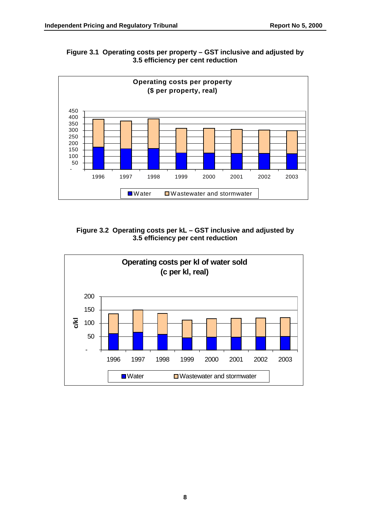



#### **Figure 3.2 Operating costs per kL – GST inclusive and adjusted by 3.5 efficiency per cent reduction**

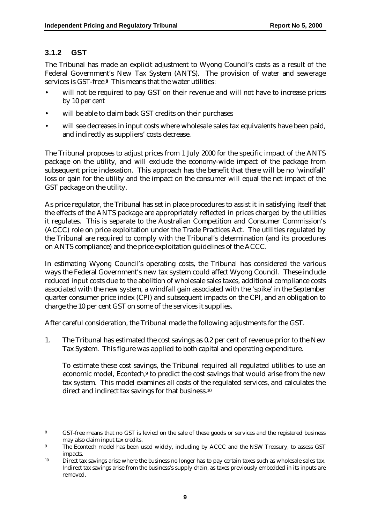### **3.1.2 GST**

 $\overline{a}$ 

The Tribunal has made an explicit adjustment to Wyong Council's costs as a result of the Federal Government's New Tax System (ANTS). The provision of water and sewerage services is GST-free.**8** This means that the water utilities:

- will not be required to pay GST on their revenue and will not have to increase prices by 10 per cent
- will be able to claim back GST credits on their purchases
- will see decreases in input costs where wholesale sales tax equivalents have been paid, and indirectly as suppliers' costs decrease.

The Tribunal proposes to adjust prices from 1 July 2000 for the specific impact of the ANTS package on the utility, and will exclude the economy-wide impact of the package from subsequent price indexation. This approach has the benefit that there will be no 'windfall' loss or gain for the utility and the impact on the consumer will equal the net impact of the GST package on the utility.

As price regulator, the Tribunal has set in place procedures to assist it in satisfying itself that the effects of the ANTS package are appropriately reflected in prices charged by the utilities it regulates. This is separate to the Australian Competition and Consumer Commission's (ACCC) role on price exploitation under the Trade Practices Act. The utilities regulated by the Tribunal are required to comply with the Tribunal's determination (and its procedures on ANTS compliance) and the price exploitation guidelines of the ACCC.

In estimating Wyong Council's operating costs, the Tribunal has considered the various ways the Federal Government's new tax system could affect Wyong Council. These include reduced input costs due to the abolition of wholesale sales taxes, additional compliance costs associated with the new system, a windfall gain associated with the 'spike' in the September quarter consumer price index (CPI) and subsequent impacts on the CPI, and an obligation to charge the 10 per cent GST on some of the services it supplies.

After careful consideration, the Tribunal made the following adjustments for the GST.

1. The Tribunal has estimated the cost savings as 0.2 per cent of revenue prior to the New Tax System. This figure was applied to both capital and operating expenditure.

To estimate these cost savings, the Tribunal required all regulated utilities to use an economic model, Econtech,<sup>9</sup> to predict the cost savings that would arise from the new tax system. This model examines all costs of the regulated services, and calculates the direct and indirect tax savings for that business.<sup>10</sup>

<sup>8</sup> GST-free means that no GST is levied on the sale of these goods or services and the registered business may also claim input tax credits.

<sup>&</sup>lt;sup>9</sup> The Econtech model has been used widely, including by ACCC and the NSW Treasury, to assess GST impacts.

<sup>10</sup> Direct tax savings arise where the business no longer has to pay certain taxes such as wholesale sales tax. Indirect tax savings arise from the business's supply chain, as taxes previously embedded in its inputs are removed.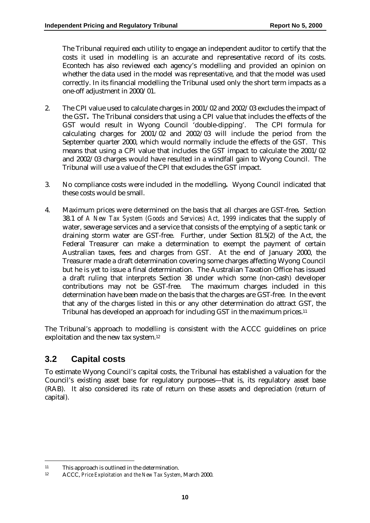The Tribunal required each utility to engage an independent auditor to certify that the costs it used in modelling is an accurate and representative record of its costs. Econtech has also reviewed each agency's modelling and provided an opinion on whether the data used in the model was representative, and that the model was used correctly. In its financial modelling the Tribunal used only the short term impacts as a one-off adjustment in 2000/01.

- 2. The CPI value used to calculate charges in 2001/02 and 2002/03 excludes the impact of the GST**.** The Tribunal considers that using a CPI value that includes the effects of the GST would result in Wyong Council 'double-dipping'. The CPI formula for calculating charges for  $2001/02$  and  $2002/03$  will include the period from the September quarter 2000, which would normally include the effects of the GST. This means that using a CPI value that includes the GST impact to calculate the 2001/02 and 2002/03 charges would have resulted in a windfall gain to Wyong Council. The Tribunal will use a value of the CPI that excludes the GST impact.
- 3. No compliance costs were included in the modelling**.** Wyong Council indicated that these costs would be small.
- 4. Maximum prices were determined on the basis that all charges are GST-free**.** Section 38.1 of *A New Tax System (Goods and Services) Act, 1999* indicates that the supply of water, sewerage services and a service that consists of the emptying of a septic tank or draining storm water are GST-free. Further, under Section 81.5(2) of the Act, the Federal Treasurer can make a determination to exempt the payment of certain Australian taxes, fees and charges from GST. At the end of January 2000, the Treasurer made a draft determination covering some charges affecting Wyong Council but he is yet to issue a final determination. The Australian Taxation Office has issued a draft ruling that interprets Section 38 under which some (non-cash) developer contributions may not be GST-free. The maximum charges included in this determination have been made on the basis that the charges are GST-free. In the event that any of the charges listed in this or any other determination do attract GST, the Tribunal has developed an approach for including GST in the maximum prices.11

The Tribunal's approach to modelling is consistent with the ACCC guidelines on price exploitation and the new tax system.12

# **3.2 Capital costs**

 $\overline{a}$ 

To estimate Wyong Council's capital costs, the Tribunal has established a valuation for the Council's existing asset base for regulatory purposes—that is, its regulatory asset base (RAB). It also considered its rate of return on these assets and depreciation (return of capital).

<sup>11</sup> This approach is outlined in the determination.

<sup>12</sup> ACCC, *Price Exploitation and the New Tax System*, March 2000.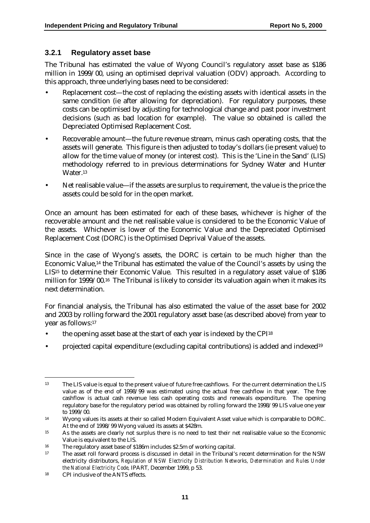#### **3.2.1 Regulatory asset base**

The Tribunal has estimated the value of Wyong Council's regulatory asset base as \$186 million in 1999/00, using an optimised deprival valuation (ODV) approach. According to this approach, three underlying bases need to be considered:

- Replacement cost—the cost of replacing the existing assets with identical assets in the same condition (ie after allowing for depreciation). For regulatory purposes, these costs can be optimised by adjusting for technological change and past poor investment decisions (such as bad location for example). The value so obtained is called the Depreciated Optimised Replacement Cost.
- Recoverable amount—the future revenue stream, minus cash operating costs, that the assets will generate. This figure is then adjusted to today's dollars (ie present value) to allow for the time value of money (or interest cost). This is the 'Line in the Sand' (LIS) methodology referred to in previous determinations for Sydney Water and Hunter Water.13
- Net realisable value—if the assets are surplus to requirement, the value is the price the assets could be sold for in the open market.

Once an amount has been estimated for each of these bases, whichever is higher of the recoverable amount and the net realisable value is considered to be the Economic Value of the assets. Whichever is lower of the Economic Value and the Depreciated Optimised Replacement Cost (DORC) is the Optimised Deprival Value of the assets.

Since in the case of Wyong's assets, the DORC is certain to be much higher than the Economic Value,14 the Tribunal has estimated the value of the Council's assets by using the LIS<sup>15</sup> to determine their Economic Value. This resulted in a regulatory asset value of \$186 million for 1999/00.16 The Tribunal is likely to consider its valuation again when it makes its next determination.

For financial analysis, the Tribunal has also estimated the value of the asset base for 2002 and 2003 by rolling forward the 2001 regulatory asset base (as described above) from year to year as follows:17

- the opening asset base at the start of each year is indexed by the CPI18
- projected capital expenditure (excluding capital contributions) is added and indexed19

 $\overline{a}$ <sup>13</sup> The LIS value is equal to the present value of future free cashflows. For the current determination the LIS value as of the end of 1998/99 was estimated using the actual free cashflow in that year. The free cashflow is actual cash revenue less cash operating costs and renewals expenditure. The opening regulatory base for the regulatory period was obtained by rolling forward the 1998/99 LIS value one year to 1999/00.

<sup>14</sup> Wyong values its assets at their so called Modern Equivalent Asset value which is comparable to DORC. At the end of 1998/99 Wyong valued its assets at \$428m.

<sup>15</sup> As the assets are clearly not surplus there is no need to test their net realisable value so the Economic Value is equivalent to the LIS.

<sup>16</sup> The regulatory asset base of \$186m includes \$2.5m of working capital.

<sup>17</sup> The asset roll forward process is discussed in detail in the Tribunal's recent determination for the NSW electricity distributors, *Regulation of NSW Electricity Distribution Networks, Determination and Rules Under the National Electricity Code,* IPART*,* December 1999, p 53.

<sup>18</sup> CPI inclusive of the ANTS effects.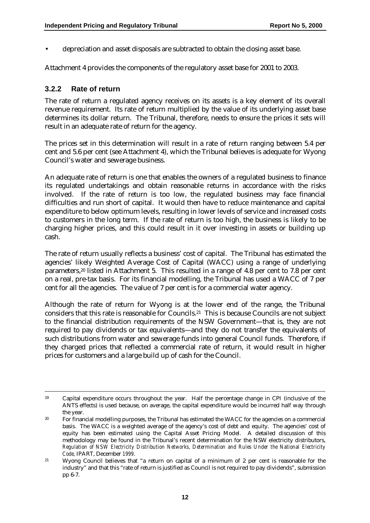• depreciation and asset disposals are subtracted to obtain the closing asset base.

Attachment 4 provides the components of the regulatory asset base for 2001 to 2003.

### **3.2.2 Rate of return**

The rate of return a regulated agency receives on its assets is a key element of its overall revenue requirement. Its rate of return multiplied by the value of its underlying asset base determines its dollar return. The Tribunal, therefore, needs to ensure the prices it sets will result in an adequate rate of return for the agency.

The prices set in this determination will result in a rate of return ranging between 5.4 per cent and 5.6 per cent (see Attachment 4), which the Tribunal believes is adequate for Wyong Council's water and sewerage business.

An adequate rate of return is one that enables the owners of a regulated business to finance its regulated undertakings and obtain reasonable returns in accordance with the risks involved. If the rate of return is too low, the regulated business may face financial difficulties and run short of capital. It would then have to reduce maintenance and capital expenditure to below optimum levels, resulting in lower levels of service and increased costs to customers in the long term. If the rate of return is too high, the business is likely to be charging higher prices, and this could result in it over investing in assets or building up cash.

The rate of return usually reflects a business' cost of capital. The Tribunal has estimated the agencies' likely Weighted Average Cost of Capital (WACC) using a range of underlying parameters,20 listed in Attachment 5. This resulted in a range of 4.8 per cent to 7.8 per cent on a real, pre-tax basis. For its financial modelling, the Tribunal has used a WACC of 7 per cent for all the agencies. The value of 7 per cent is for a commercial water agency.

Although the rate of return for Wyong is at the lower end of the range, the Tribunal considers that this rate is reasonable for Councils.21 This is because Councils are not subject to the financial distribution requirements of the NSW Government—that is, they are not required to pay dividends or tax equivalents—and they do not transfer the equivalents of such distributions from water and sewerage funds into general Council funds. Therefore, if they charged prices that reflected a commercial rate of return, it would result in higher prices for customers and a large build up of cash for the Council.

 <sup>19</sup> Capital expenditure occurs throughout the year. Half the percentage change in CPI (inclusive of the ANTS effects) is used because, on average, the capital expenditure would be incurred half way through the year.

<sup>&</sup>lt;sup>20</sup> For financial modelling purposes, the Tribunal has estimated the WACC for the agencies on a commercial basis. The WACC is a weighted average of the agency's cost of debt and equity. The agencies' cost of equity has been estimated using the Capital Asset Pricing Model. A detailed discussion of this methodology may be found in the Tribunal's recent determination for the NSW electricity distributors, *Regulation of NSW Electricity Distribution Networks, Determination and Rules Under the National Electricity Code,* IPART, December *1999*.

<sup>21</sup> Wyong Council believes that "a return on capital of a minimum of 2 per cent is reasonable for the industry" and that this "rate of return is justified as Council is not required to pay dividends", submission pp 6-7.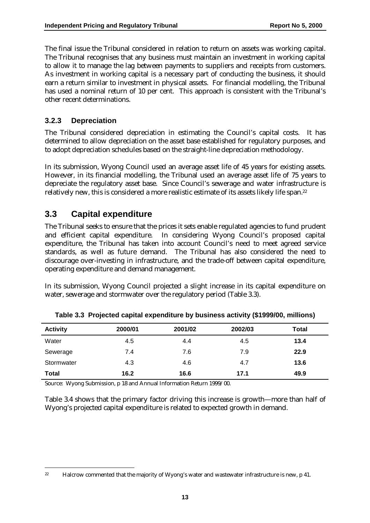The final issue the Tribunal considered in relation to return on assets was working capital. The Tribunal recognises that any business must maintain an investment in working capital to allow it to manage the lag between payments to suppliers and receipts from customers. As investment in working capital is a necessary part of conducting the business, it should earn a return similar to investment in physical assets. For financial modelling, the Tribunal has used a nominal return of 10 per cent. This approach is consistent with the Tribunal's other recent determinations.

#### **3.2.3 Depreciation**

The Tribunal considered depreciation in estimating the Council's capital costs. It has determined to allow depreciation on the asset base established for regulatory purposes, and to adopt depreciation schedules based on the straight-line depreciation methodology.

In its submission, Wyong Council used an average asset life of 45 years for existing assets. However, in its financial modelling, the Tribunal used an average asset life of 75 years to depreciate the regulatory asset base. Since Council's sewerage and water infrastructure is relatively new, this is considered a more realistic estimate of its assets likely life span.22

### **3.3 Capital expenditure**

 $\overline{a}$ 

The Tribunal seeks to ensure that the prices it sets enable regulated agencies to fund prudent and efficient capital expenditure. In considering Wyong Council's proposed capital expenditure, the Tribunal has taken into account Council's need to meet agreed service standards, as well as future demand. The Tribunal has also considered the need to discourage over-investing in infrastructure, and the trade-off between capital expenditure, operating expenditure and demand management.

In its submission, Wyong Council projected a slight increase in its capital expenditure on water, sewerage and stormwater over the regulatory period (Table 3.3).

| <b>Activity</b> | 2000/01 | 2001/02 | 2002/03 | Total |
|-----------------|---------|---------|---------|-------|
| Water           | 4.5     | 4.4     | 4.5     | 13.4  |
| Sewerage        | 7.4     | 7.6     | 7.9     | 22.9  |
| Stormwater      | 4.3     | 4.6     | 4.7     | 13.6  |
| <b>Total</b>    | 16.2    | 16.6    | 17.1    | 49.9  |

**Table 3.3 Projected capital expenditure by business activity (\$1999/00, millions)**

Source: Wyong Submission, p 18 and Annual Information Return 1999/00.

Table 3.4 shows that the primary factor driving this increase is growth—more than half of Wyong's projected capital expenditure is related to expected growth in demand.

<sup>&</sup>lt;sup>22</sup> Halcrow commented that the majority of Wyong's water and wastewater infrastructure is new, p 41.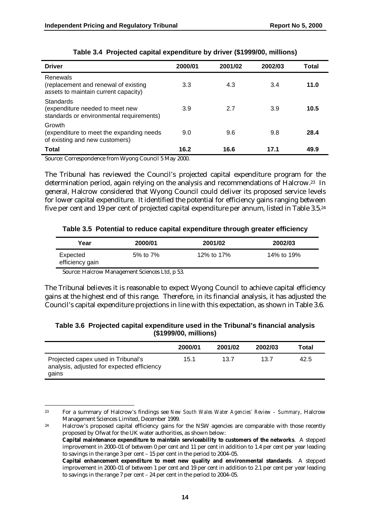| <b>Driver</b>                                                                            | 2000/01 | 2001/02 | 2002/03 | Total |
|------------------------------------------------------------------------------------------|---------|---------|---------|-------|
| Renewals<br>(replacement and renewal of existing<br>assets to maintain current capacity) | 3.3     | 4.3     | 3.4     | 11.0  |
| Standards<br>(expenditure needed to meet new<br>standards or environmental requirements) | 3.9     | 2.7     | 3.9     | 10.5  |
| Growth<br>(expenditure to meet the expanding needs<br>of existing and new customers)     | 9.0     | 9.6     | 9.8     | 28.4  |
| <b>Total</b>                                                                             | 16.2    | 16.6    | 17.1    | 49.9  |

#### **Table 3.4 Projected capital expenditure by driver (\$1999/00, millions)**

Source: Correspondence from Wyong Council 5 May 2000.

The Tribunal has reviewed the Council's projected capital expenditure program for the determination period, again relying on the analysis and recommendations of Halcrow.23 In general, Halcrow considered that Wyong Council could deliver its proposed service levels for lower capital expenditure. It identified the potential for efficiency gains ranging between five per cent and 19 per cent of projected capital expenditure per annum, listed in Table 3.5.24

|  |  | Table 3.5 Potential to reduce capital expenditure through greater efficiency |  |  |  |  |
|--|--|------------------------------------------------------------------------------|--|--|--|--|
|--|--|------------------------------------------------------------------------------|--|--|--|--|

| Year                        | 2000/01  | 2001/02    | 2002/03    |
|-----------------------------|----------|------------|------------|
| Expected<br>efficiency gain | 5% to 7% | 12% to 17% | 14% to 19% |

Source: Halcrow Management Sciences Ltd, p 53.

 $\overline{a}$ 

The Tribunal believes it is reasonable to expect Wyong Council to achieve capital efficiency gains at the highest end of this range. Therefore, in its financial analysis, it has adjusted the Council's capital expenditure projections in line with this expectation, as shown in Table 3.6.

#### **Table 3.6 Projected capital expenditure used in the Tribunal's financial analysis (\$1999/00, millions)**

|                                                                                           | 2000/01 | 2001/02 | 2002/03 | Total |
|-------------------------------------------------------------------------------------------|---------|---------|---------|-------|
| Projected capex used in Tribunal's<br>analysis, adjusted for expected efficiency<br>gains | 15.1    | 13.7    | 13.7    | 42.5  |

<sup>23</sup> For a summary of Halcrow's findings see *New South Wales Water Agencies' Review – Summary,* Halcrow Management Sciences Limited, December 1999.

<sup>&</sup>lt;sup>24</sup> Halcrow's proposed capital efficiency gains for the NSW agencies are comparable with those recently proposed by Ofwat for the UK water authorities, as shown below:

**Capital maintenance expenditure to maintain serviceability to customers of the networks**. A stepped improvement in 2000–01 of between 0 per cent and 11 per cent in addition to 1.4 per cent per year leading to savings in the range 3 per cent – 15 per cent in the period to 2004–05.

**Capital enhancement expenditure to meet new quality and environmental standards**. A stepped improvement in 2000–01 of between 1 per cent and 19 per cent in addition to 2.1 per cent per year leading to savings in the range 7 per cent – 24 per cent in the period to 2004–05.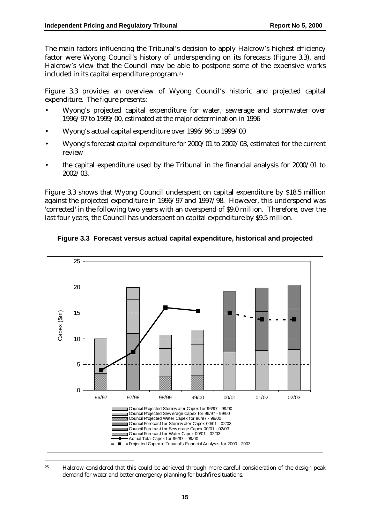The main factors influencing the Tribunal's decision to apply Halcrow's highest efficiency factor were Wyong Council's history of underspending on its forecasts (Figure 3.3), and Halcrow's view that the Council may be able to postpone some of the expensive works included in its capital expenditure program.25

Figure 3.3 provides an overview of Wyong Council's historic and projected capital expenditure. The figure presents:

- Wyong's projected capital expenditure for water, sewerage and stormwater over 1996/97 to 1999/00, estimated at the major determination in 1996
- Wyong's actual capital expenditure over 1996/96 to 1999/00
- Wyong's forecast capital expenditure for 2000/01 to 2002/03, estimated for the current review
- the capital expenditure used by the Tribunal in the financial analysis for 2000/01 to 2002/03.

Figure 3.3 shows that Wyong Council underspent on capital expenditure by \$18.5 million against the projected expenditure in 1996/97 and 1997/98. However, this underspend was 'corrected' in the following two years with an overspend of \$9.0 million. Therefore, over the last four years, the Council has underspent on capital expenditure by \$9.5 million.



**Figure 3.3 Forecast versus actual capital expenditure, historical and projected**

<sup>&</sup>lt;sup>25</sup> Halcrow considered that this could be achieved through more careful consideration of the design peak demand for water and better emergency planning for bushfire situations.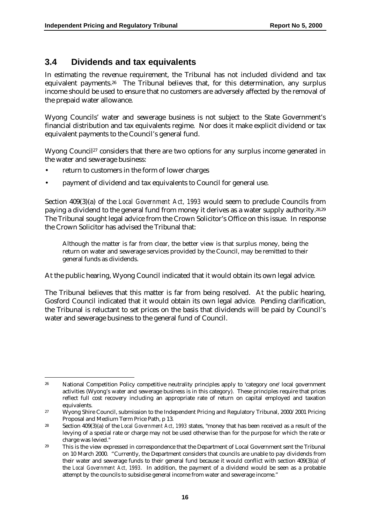### **3.4 Dividends and tax equivalents**

In estimating the revenue requirement, the Tribunal has not included dividend and tax equivalent payments.26 The Tribunal believes that, for this determination, any surplus income should be used to ensure that no customers are adversely affected by the removal of the prepaid water allowance.

Wyong Councils' water and sewerage business is not subject to the State Government's financial distribution and tax equivalents regime. Nor does it make explicit dividend or tax equivalent payments to the Council's general fund.

Wyong Council<sup>27</sup> considers that there are two options for any surplus income generated in the water and sewerage business:

- return to customers in the form of lower charges
- payment of dividend and tax equivalents to Council for general use.

Section 409(3)(a) of the *Local Government Act, 1993* would seem to preclude Councils from paying a dividend to the general fund from money it derives as a water supply authority.28,29 The Tribunal sought legal advice from the Crown Solicitor's Office on this issue. In response the Crown Solicitor has advised the Tribunal that:

Although the matter is far from clear, the better view is that surplus money, being the return on water and sewerage services provided by the Council, may be remitted to their general funds as dividends.

At the public hearing, Wyong Council indicated that it would obtain its own legal advice.

The Tribunal believes that this matter is far from being resolved. At the public hearing, Gosford Council indicated that it would obtain its own legal advice. Pending clarification, the Tribunal is reluctant to set prices on the basis that dividends will be paid by Council's water and sewerage business to the general fund of Council.

 $\overline{a}$ <sup>26</sup> National Competition Policy competitive neutrality principles apply to 'category one' local government activities (Wyong's water and sewerage business is in this category). These principles require that prices reflect full cost recovery including an appropriate rate of return on capital employed and taxation equivalents.

<sup>&</sup>lt;sup>27</sup> Wyong Shire Council, submission to the Independent Pricing and Regulatory Tribunal, 2000/2001 Pricing Proposal and Medium Term Price Path, p 13.

<sup>28</sup> Section 409(3)(a) of the *Local Government Act, 1993* states, "money that has been received as a result of the levying of a special rate or charge may not be used otherwise than for the purpose for which the rate or charge was levied."

<sup>&</sup>lt;sup>29</sup> This is the view expressed in correspondence that the Department of Local Government sent the Tribunal on 10 March 2000. "Currently, the Department considers that councils are unable to pay dividends from their water and sewerage funds to their general fund because it would conflict with section 409(3)(a) of the *Local Government Act, 1993*. In addition, the payment of a dividend would be seen as a probable attempt by the councils to subsidise general income from water and sewerage income."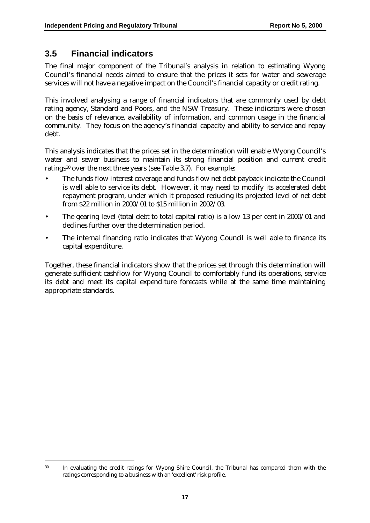### **3.5 Financial indicators**

 $\overline{a}$ 

The final major component of the Tribunal's analysis in relation to estimating Wyong Council's financial needs aimed to ensure that the prices it sets for water and sewerage services will not have a negative impact on the Council's financial capacity or credit rating.

This involved analysing a range of financial indicators that are commonly used by debt rating agency, Standard and Poors, and the NSW Treasury. These indicators were chosen on the basis of relevance, availability of information, and common usage in the financial community. They focus on the agency's financial capacity and ability to service and repay debt.

This analysis indicates that the prices set in the determination will enable Wyong Council's water and sewer business to maintain its strong financial position and current credit ratings30 over the next three years (see Table 3.7). For example:

- The funds flow interest coverage and funds flow net debt payback indicate the Council is well able to service its debt. However, it may need to modify its accelerated debt repayment program, under which it proposed reducing its projected level of net debt from \$22 million in 2000/01 to \$15 million in 2002/03.
- The gearing level (total debt to total capital ratio) is a low 13 per cent in 2000/01 and declines further over the determination period.
- The internal financing ratio indicates that Wyong Council is well able to finance its capital expenditure.

Together, these financial indicators show that the prices set through this determination will generate sufficient cashflow for Wyong Council to comfortably fund its operations, service its debt and meet its capital expenditure forecasts while at the same time maintaining appropriate standards.

<sup>30</sup> In evaluating the credit ratings for Wyong Shire Council, the Tribunal has compared them with the ratings corresponding to a business with an 'excellent' risk profile.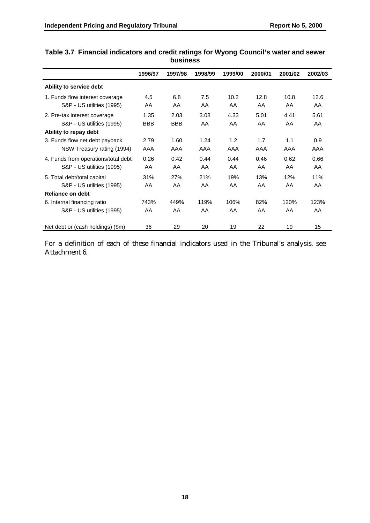|                                     | 1996/97    | 1997/98    | 1998/99 | 1999/00 | 2000/01 | 2001/02 | 2002/03 |
|-------------------------------------|------------|------------|---------|---------|---------|---------|---------|
|                                     |            |            |         |         |         |         |         |
| Ability to service debt             |            |            |         |         |         |         |         |
| 1. Funds flow interest coverage     | 4.5        | 6.8        | 7.5     | 10.2    | 12.8    | 10.8    | 12.6    |
| S&P - US utilities (1995)           | AA         | AA         | AA      | AA      | AA      | AA      | AA      |
| 2. Pre-tax interest coverage        | 1.35       | 2.03       | 3.08    | 4.33    | 5.01    | 4.41    | 5.61    |
| S&P - US utilities (1995)           | <b>BBB</b> | <b>BBB</b> | AA      | AA      | AA      | AA      | AA      |
| Ability to repay debt               |            |            |         |         |         |         |         |
| 3. Funds flow net debt payback      | 2.79       | 1.60       | 1.24    | 1.2     | 1.7     | 1.1     | 0.9     |
| NSW Treasury rating (1994)          | AAA        | AAA        | AAA     | AAA     | AAA     | AAA     | AAA     |
| 4. Funds from operations/total debt | 0.26       | 0.42       | 0.44    | 0.44    | 0.46    | 0.62    | 0.66    |
| S&P - US utilities (1995)           | AA         | AA         | AA      | AA      | AA      | AA      | AA      |
| 5. Total debt/total capital         | 31%        | 27%        | 21%     | 19%     | 13%     | 12%     | 11%     |
| S&P - US utilities (1995)           | AA         | AA         | AA      | AA      | AA      | AA      | AA      |
| Reliance on debt                    |            |            |         |         |         |         |         |
| 6. Internal financing ratio         | 743%       | 449%       | 119%    | 106%    | 82%     | 120%    | 123%    |
| S&P - US utilities (1995)           | AA         | AA         | AA      | AA      | AA      | AA      | AA      |
| Net debt or (cash holdings) (\$m)   | 36         | 29         | 20      | 19      | 22      | 19      | 15      |

#### **Table 3.7 Financial indicators and credit ratings for Wyong Council's water and sewer business**

For a definition of each of these financial indicators used in the Tribunal's analysis, see Attachment 6.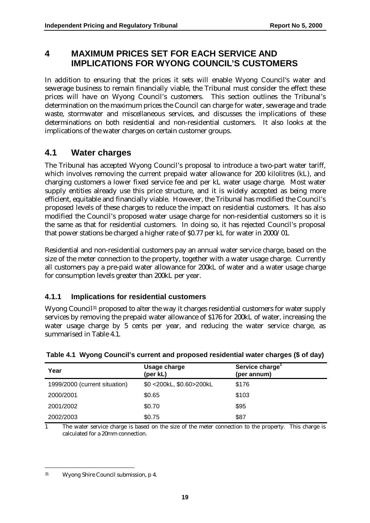### **4 MAXIMUM PRICES SET FOR EACH SERVICE AND IMPLICATIONS FOR WYONG COUNCIL'S CUSTOMERS**

In addition to ensuring that the prices it sets will enable Wyong Council's water and sewerage business to remain financially viable, the Tribunal must consider the effect these prices will have on Wyong Council's customers. This section outlines the Tribunal's determination on the maximum prices the Council can charge for water, sewerage and trade waste, stormwater and miscellaneous services, and discusses the implications of these determinations on both residential and non-residential customers. It also looks at the implications of the water charges on certain customer groups.

# **4.1 Water charges**

The Tribunal has accepted Wyong Council's proposal to introduce a two-part water tariff, which involves removing the current prepaid water allowance for 200 kilolitres (kL), and charging customers a lower fixed service fee and per kL water usage charge. Most water supply entities already use this price structure, and it is widely accepted as being more efficient, equitable and financially viable. However, the Tribunal has modified the Council's proposed levels of these charges to reduce the impact on residential customers. It has also modified the Council's proposed water usage charge for non-residential customers so it is the same as that for residential customers. In doing so, it has rejected Council's proposal that power stations be charged a higher rate of \$0.77 per kL for water in 2000/01.

Residential and non-residential customers pay an annual water service charge, based on the size of the meter connection to the property, together with a water usage charge. Currently all customers pay a pre-paid water allowance for 200kL of water and a water usage charge for consumption levels greater than 200kL per year.

### **4.1.1 Implications for residential customers**

Wyong Council<sup>31</sup> proposed to alter the way it charges residential customers for water supply services by removing the prepaid water allowance of \$176 for 200kL of water, increasing the water usage charge by 5 cents per year, and reducing the water service charge, as summarised in Table 4.1.

| Year                          | Usage charge<br>(per kL) | Service charge <sup>1</sup><br>(per annum) |
|-------------------------------|--------------------------|--------------------------------------------|
| 1999/2000 (current situation) | \$0 <200kL, \$0.60>200kL | \$176                                      |
| 2000/2001                     | \$0.65                   | \$103                                      |
| 2001/2002                     | \$0.70                   | \$95                                       |
| 2002/2003                     | \$0.75                   | \$87                                       |

**Table 4.1 Wyong Council's current and proposed residential water charges (\$ of day)**

1 The water service charge is based on the size of the meter connection to the property. This charge is calculated for a 20mm connection.

 $\overline{a}$ 31 Wyong Shire Council submission, p 4.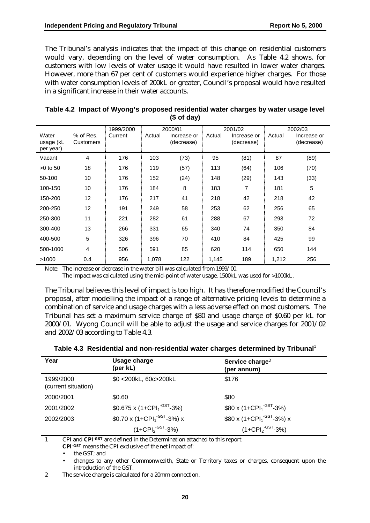The Tribunal's analysis indicates that the impact of this change on residential customers would vary, depending on the level of water consumption. As Table 4.2 shows, for customers with low levels of water usage it would have resulted in lower water charges. However, more than 67 per cent of customers would experience higher charges. For those with water consumption levels of 200kL or greater, Council's proposal would have resulted in a significant increase in their water accounts.

|                                 |                        |           |        | $(7 - 1)$                 |        |                           |        |                           |
|---------------------------------|------------------------|-----------|--------|---------------------------|--------|---------------------------|--------|---------------------------|
|                                 |                        | 1999/2000 |        | 2000/01                   |        | 2001/02                   |        | 2002/03                   |
| Water<br>usage (kL<br>per year) | % of Res.<br>Customers | Current   | Actual | Increase or<br>(decrease) | Actual | Increase or<br>(decrease) | Actual | Increase or<br>(decrease) |
| Vacant                          | 4                      | 176       | 103    | (73)                      | 95     | (81)                      | 87     | (89)                      |
| $>0$ to 50                      | 18                     | 176       | 119    | (57)                      | 113    | (64)                      | 106    | (70)                      |
| 50-100                          | 10                     | 176       | 152    | (24)                      | 148    | (29)                      | 143    | (33)                      |
| 100-150                         | 10                     | 176       | 184    | 8                         | 183    | 7                         | 181    | 5                         |
| 150-200                         | 12 <sup>°</sup>        | 176       | 217    | 41                        | 218    | 42                        | 218    | 42                        |
| 200-250                         | $12 \overline{ }$      | 191       | 249    | 58                        | 253    | 62                        | 256    | 65                        |
| 250-300                         | 11                     | 221       | 282    | 61                        | 288    | 67                        | 293    | 72                        |
| 300-400                         | 13                     | 266       | 331    | 65                        | 340    | 74                        | 350    | 84                        |
| 400-500                         | 5                      | 326       | 396    | 70                        | 410    | 84                        | 425    | 99                        |
| 500-1000                        | $\overline{4}$         | 506       | 591    | 85                        | 620    | 114                       | 650    | 144                       |
| >1000                           | 0.4                    | 956       | 1,078  | 122                       | 1,145  | 189                       | 1,212  | 256                       |

| Table 4.2  Impact of Wyong's proposed residential water charges by water usage level |  |
|--------------------------------------------------------------------------------------|--|
| (\$ of day)                                                                          |  |

Note: The increase or decrease in the water bill was calculated from 1999/00.

The impact was calculated using the mid-point of water usage, 1500kL was used for >1000kL.

The Tribunal believes this level of impact is too high. It has therefore modified the Council's proposal, after modelling the impact of a range of alternative pricing levels to determine a combination of service and usage charges with a less adverse effect on most customers. The Tribunal has set a maximum service charge of \$80 and usage charge of \$0.60 per kL for 2000/01. Wyong Council will be able to adjust the usage and service charges for 2001/02 and 2002/03 according to Table 4.3.

| Table 4.3 Residential and non-residential water charges determined by Tribunal <sup>1</sup> |  |
|---------------------------------------------------------------------------------------------|--|
|---------------------------------------------------------------------------------------------|--|

| Year                             | Usage charge<br>(per kL)                            | Service charge <sup>2</sup><br>(per annum)               |
|----------------------------------|-----------------------------------------------------|----------------------------------------------------------|
| 1999/2000<br>(current situation) | \$0 <200kL, 60c>200kL                               | \$176                                                    |
| 2000/2001                        | \$0.60                                              | \$80                                                     |
| 2001/2002                        | \$0.675 x (1+CPI <sub>1</sub> <sup>-GST</sup> -3%)  | $$80 \times (1 + \text{CPI}_1^{\cdot \text{GST}} - 3\%)$ |
| 2002/2003                        | \$0.70 x (1+CPI <sub>1</sub> <sup>-GST</sup> -3%) x | $$80 x (1+CPI1$ <sup>-GST</sup> -3%) x                   |
|                                  | $(1+CPI2-GST-3%)$                                   | $(1+CPI2-GST-3%)$                                        |

1 CPI and **CPI-GST** are defined in the Determination attached to this report.

**CPI-GST** means the CPI exclusive of the net impact of:

• the GST*;* and

• changes to any other Commonwealth, State or Territory taxes or charges, consequent upon the introduction of the GST.

2 The service charge is calculated for a 20mm connection.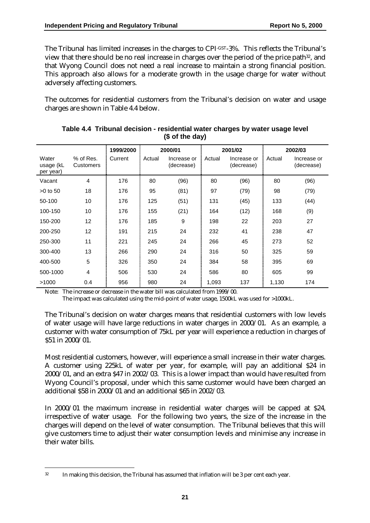The Tribunal has limited increases in the charges to CPI-GST-3%. This reflects the Tribunal's view that there should be no real increase in charges over the period of the price path32, and that Wyong Council does not need a real increase to maintain a strong financial position. This approach also allows for a moderate growth in the usage charge for water without adversely affecting customers.

The outcomes for residential customers from the Tribunal's decision on water and usage charges are shown in Table 4.4 below.

|                                 |                        | 1999/2000 |        | 2000/01                   |        | 2001/02                   |        | 2002/03                   |
|---------------------------------|------------------------|-----------|--------|---------------------------|--------|---------------------------|--------|---------------------------|
| Water<br>usage (kL<br>per year) | % of Res.<br>Customers | Current   | Actual | Increase or<br>(decrease) | Actual | Increase or<br>(decrease) | Actual | Increase or<br>(decrease) |
| Vacant                          | $\overline{4}$         | 176       | 80     | (96)                      | 80     | (96)                      | 80     | (96)                      |
| $>0$ to 50                      | 18                     | 176       | 95     | (81)                      | 97     | (79)                      | 98     | (79)                      |
| 50-100                          | 10                     | 176       | 125    | (51)                      | 131    | (45)                      | 133    | (44)                      |
| 100-150                         | 10                     | 176       | 155    | (21)                      | 164    | (12)                      | 168    | (9)                       |
| 150-200                         | 12                     | 176       | 185    | 9                         | 198    | 22                        | 203    | 27                        |
| 200-250                         | $12 \overline{ }$      | 191       | 215    | 24                        | 232    | 41                        | 238    | 47                        |
| 250-300                         | 11                     | 221       | 245    | 24                        | 266    | 45                        | 273    | 52                        |
| 300-400                         | 13                     | 266       | 290    | 24                        | 316    | 50                        | 325    | 59                        |
| 400-500                         | 5                      | 326       | 350    | 24                        | 384    | 58                        | 395    | 69                        |
| 500-1000                        | $\overline{4}$         | 506       | 530    | 24                        | 586    | 80                        | 605    | 99                        |
| >1000                           | 0.4                    | 956       | 980    | 24                        | 1,093  | 137                       | 1,130  | 174                       |

**Table 4.4 Tribunal decision - residential water charges by water usage level (\$ of the day)**

Note: The increase or decrease in the water bill was calculated from 1999/00.

The impact was calculated using the mid-point of water usage, 1500kL was used for >1000kL.

The Tribunal's decision on water charges means that residential customers with low levels of water usage will have large reductions in water charges in 2000/01. As an example, a customer with water consumption of 75kL per year will experience a reduction in charges of \$51 in 2000/01.

Most residential customers, however, will experience a small increase in their water charges. A customer using 225kL of water per year, for example, will pay an additional \$24 in 2000/01, and an extra \$47 in 2002/03. This is a lower impact than would have resulted from Wyong Council's proposal, under which this same customer would have been charged an additional \$58 in 2000/01 and an additional \$65 in 2002/03.

In 2000/01 the maximum increase in residential water charges will be capped at \$24, irrespective of water usage. For the following two years, the size of the increase in the charges will depend on the level of water consumption. The Tribunal believes that this will give customers time to adjust their water consumption levels and minimise any increase in their water bills.

 $\overline{a}$ 

<sup>32</sup> In making this decision, the Tribunal has assumed that inflation will be 3 per cent each year.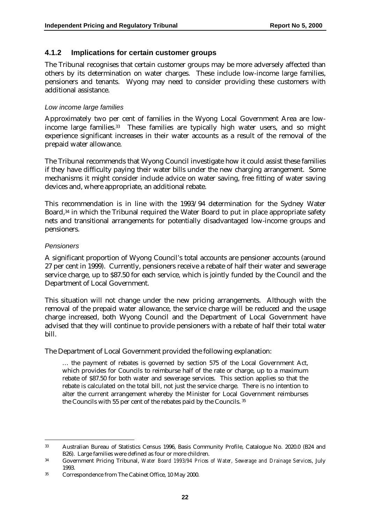#### **4.1.2 Implications for certain customer groups**

The Tribunal recognises that certain customer groups may be more adversely affected than others by its determination on water charges. These include low-income large families, pensioners and tenants. Wyong may need to consider providing these customers with additional assistance.

#### *Low income large families*

Approximately two per cent of families in the Wyong Local Government Area are lowincome large families.33 These families are typically high water users, and so might experience significant increases in their water accounts as a result of the removal of the prepaid water allowance.

The Tribunal recommends that Wyong Council investigate how it could assist these families if they have difficulty paying their water bills under the new charging arrangement. Some mechanisms it might consider include advice on water saving, free fitting of water saving devices and, where appropriate, an additional rebate.

This recommendation is in line with the 1993/94 determination for the Sydney Water Board,<sup>34</sup> in which the Tribunal required the Water Board to put in place appropriate safety nets and transitional arrangements for potentially disadvantaged low-income groups and pensioners.

#### *Pensioners*

A significant proportion of Wyong Council's total accounts are pensioner accounts (around 27 per cent in 1999). Currently, pensioners receive a rebate of half their water and sewerage service charge, up to \$87.50 for each service, which is jointly funded by the Council and the Department of Local Government.

This situation will not change under the new pricing arrangements. Although with the removal of the prepaid water allowance, the service charge will be reduced and the usage charge increased, both Wyong Council and the Department of Local Government have advised that they will continue to provide pensioners with a rebate of half their total water bill.

The Department of Local Government provided the following explanation:

… the payment of rebates is governed by section 575 of the Local Government Act, which provides for Councils to reimburse half of the rate or charge, up to a maximum rebate of \$87.50 for both water and sewerage services. This section applies so that the rebate is calculated on the total bill, not just the service charge. There is no intention to alter the current arrangement whereby the Minister for Local Government reimburses the Councils with 55 per cent of the rebates paid by the Councils. 35

 $\overline{a}$ 33 Australian Bureau of Statistics Census 1996, Basis Community Profile, Catalogue No. 2020.0 (B24 and B26). Large families were defined as four or more children.

<sup>34</sup> Government Pricing Tribunal, *Water Board 1993/94 Prices of Water, Sewerage and Drainage Services*, July 1993.

<sup>35</sup> Correspondence from The Cabinet Office, 10 May 2000.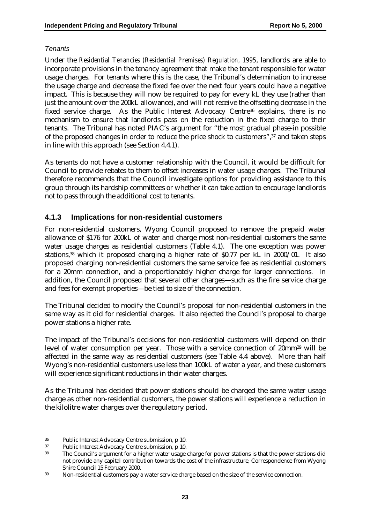#### *Tenants*

Under the *Residential Tenancies (Residential Premises) Regulation, 1995*, landlords are able to incorporate provisions in the tenancy agreement that make the tenant responsible for water usage charges. For tenants where this is the case, the Tribunal's determination to increase the usage charge and decrease the fixed fee over the next four years could have a negative impact. This is because they will now be required to pay for every kL they use (rather than just the amount over the 200kL allowance), and will not receive the offsetting decrease in the fixed service charge. As the Public Interest Advocacy Centre<sup>36</sup> explains, there is no mechanism to ensure that landlords pass on the reduction in the fixed charge to their tenants. The Tribunal has noted PIAC's argument for "the most gradual phase-in possible of the proposed changes in order to reduce the price shock to customers",37 and taken steps in line with this approach (see Section 4.4.1).

As tenants do not have a customer relationship with the Council, it would be difficult for Council to provide rebates to them to offset increases in water usage charges. The Tribunal therefore recommends that the Council investigate options for providing assistance to this group through its hardship committees or whether it can take action to encourage landlords not to pass through the additional cost to tenants.

#### **4.1.3 Implications for non-residential customers**

For non-residential customers, Wyong Council proposed to remove the prepaid water allowance of \$176 for 200kL of water and charge most non-residential customers the same water usage charges as residential customers (Table 4.1). The one exception was power stations,<sup>38</sup> which it proposed charging a higher rate of \$0.77 per kL in 2000/01. It also proposed charging non-residential customers the same service fee as residential customers for a 20mm connection, and a proportionately higher charge for larger connections. In addition, the Council proposed that several other charges—such as the fire service charge and fees for exempt properties—be tied to size of the connection.

The Tribunal decided to modify the Council's proposal for non-residential customers in the same way as it did for residential charges. It also rejected the Council's proposal to charge power stations a higher rate.

The impact of the Tribunal's decisions for non-residential customers will depend on their level of water consumption per year. Those with a service connection of 20mm39 will be affected in the same way as residential customers (see Table 4.4 above). More than half Wyong's non-residential customers use less than 100kL of water a year, and these customers will experience significant reductions in their water charges.

As the Tribunal has decided that power stations should be charged the same water usage charge as other non-residential customers, the power stations will experience a reduction in the kilolitre water charges over the regulatory period.

 $\overline{a}$ 

<sup>36</sup> Public Interest Advocacy Centre submission, p 10.

<sup>37</sup> Public Interest Advocacy Centre submission, p 10.

<sup>38</sup> The Council's argument for a higher water usage charge for power stations is that the power stations did not provide any capital contribution towards the cost of the infrastructure, Correspondence from Wyong Shire Council 15 February 2000.

<sup>39</sup> Non-residential customers pay a water service charge based on the size of the service connection.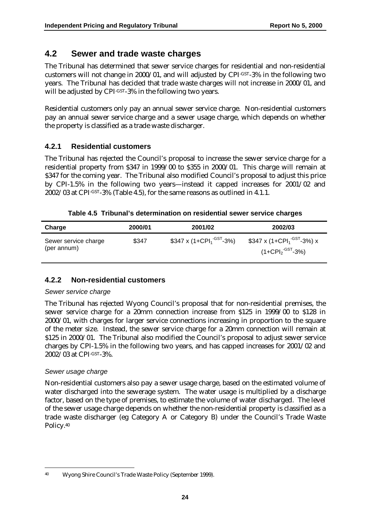### **4.2 Sewer and trade waste charges**

The Tribunal has determined that sewer service charges for residential and non-residential customers will not change in 2000/01, and will adjusted by CPI-GST-3% in the following two years. The Tribunal has decided that trade waste charges will not increase in 2000/01, and will be adjusted by CPI-GST-3% in the following two years.

Residential customers only pay an annual sewer service charge. Non-residential customers pay an annual sewer service charge and a sewer usage charge, which depends on whether the property is classified as a trade waste discharger.

### **4.2.1 Residential customers**

The Tribunal has rejected the Council's proposal to increase the sewer service charge for a residential property from \$347 in 1999/00 to \$355 in 2000/01. This charge will remain at \$347 for the coming year. The Tribunal also modified Council's proposal to adjust this price by CPI-1.5% in the following two years—instead it capped increases for 2001/02 and 2002/03 at CPI-GST-3% (Table 4.5), for the same reasons as outlined in 4.1.1.

| Table 4.5 Tribunal's determination on residential sewer service charges |  |
|-------------------------------------------------------------------------|--|
|-------------------------------------------------------------------------|--|

| Charge                              | 2000/01 | 2001/02                                          | 2002/03                                                                              |
|-------------------------------------|---------|--------------------------------------------------|--------------------------------------------------------------------------------------|
| Sewer service charge<br>(per annum) | \$347   | \$347 x (1+CPI <sub>1</sub> <sup>-GST</sup> -3%) | \$347 x (1+СРІ <sub>1</sub> <sup>-GST</sup> -3%) x<br>$(1+CPI2$ <sup>-GST</sup> -3%) |

#### **4.2.2 Non-residential customers**

#### *Sewer service charge*

The Tribunal has rejected Wyong Council's proposal that for non-residential premises, the sewer service charge for a 20mm connection increase from \$125 in 1999/00 to \$128 in 2000/01, with charges for larger service connections increasing in proportion to the square of the meter size. Instead, the sewer service charge for a 20mm connection will remain at \$125 in 2000/01. The Tribunal also modified the Council's proposal to adjust sewer service charges by CPI-1.5% in the following two years, and has capped increases for 2001/02 and 2002/03 at CPI-GST-3%.

#### *Sewer usage charge*

Non-residential customers also pay a sewer usage charge, based on the estimated volume of water discharged into the sewerage system. The water usage is multiplied by a discharge factor, based on the type of premises, to estimate the volume of water discharged. The level of the sewer usage charge depends on whether the non-residential property is classified as a trade waste discharger (eg Category A or Category B) under the Council's Trade Waste Policy.40

 $\overline{a}$ 40 Wyong Shire Council's Trade Waste Policy (September 1999).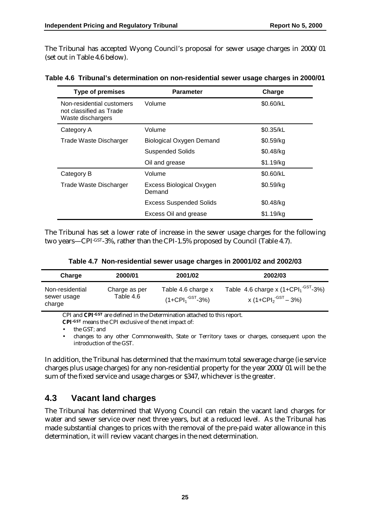The Tribunal has accepted Wyong Council's proposal for sewer usage charges in 2000/01 (set out in Table 4.6 below).

| <b>Type of premises</b>                                                   | <b>Parameter</b>                          |           |
|---------------------------------------------------------------------------|-------------------------------------------|-----------|
| Non-residential customers<br>not classified as Trade<br>Waste dischargers | Volume                                    | \$0.60/kL |
| Category A                                                                | Volume                                    | \$0.35/kL |
| Trade Waste Discharger                                                    | <b>Biological Oxygen Demand</b>           | \$0.59/kg |
|                                                                           | <b>Suspended Solids</b>                   | \$0.48/kg |
|                                                                           | Oil and grease                            | \$1.19/kg |
| Category B                                                                | Volume                                    | \$0.60/kL |
| Trade Waste Discharger                                                    | <b>Excess Biological Oxygen</b><br>Demand | \$0.59/kg |
|                                                                           | <b>Excess Suspended Solids</b>            | \$0.48/kg |
|                                                                           | Excess Oil and grease                     | \$1.19/kg |

#### **Table 4.6 Tribunal's determination on non-residential sewer usage charges in 2000/01**

The Tribunal has set a lower rate of increase in the sewer usage charges for the following two years—CPI-GST-3%, rather than the CPI-1.5% proposed by Council (Table 4.7).

|  | Table 4.7 Non-residential sewer usage charges in 20001/02 and 2002/03 |  |  |  |  |
|--|-----------------------------------------------------------------------|--|--|--|--|
|--|-----------------------------------------------------------------------|--|--|--|--|

| Charge                                   | 2000/01                    | 2001/02                                                     | 2002/03                                                                     |
|------------------------------------------|----------------------------|-------------------------------------------------------------|-----------------------------------------------------------------------------|
| Non-residential<br>sewer usage<br>charge | Charge as per<br>Table 4.6 | Table 4.6 charge x<br>$(1+{\sf CPI}_1$ <sup>-GST</sup> -3%) | Table 4.6 charge x $(1+CPI1-GST-3%)$<br>x (1+CPI $_2$ <sup>-GST</sup> – 3%) |

CPI and **CPI-GST** are defined in the Determination attached to this report.

**CPI-GST** means the CPI exclusive of the net impact of:

• the GST*;* and

• changes to any other Commonwealth, State or Territory taxes or charges, consequent upon the introduction of the GST.

In addition, the Tribunal has determined that the maximum total sewerage charge (ie service charges plus usage charges) for any non-residential property for the year 2000/01 will be the sum of the fixed service and usage charges or \$347, whichever is the greater.

### **4.3 Vacant land charges**

The Tribunal has determined that Wyong Council can retain the vacant land charges for water and sewer service over next three years, but at a reduced level. As the Tribunal has made substantial changes to prices with the removal of the pre-paid water allowance in this determination, it will review vacant charges in the next determination.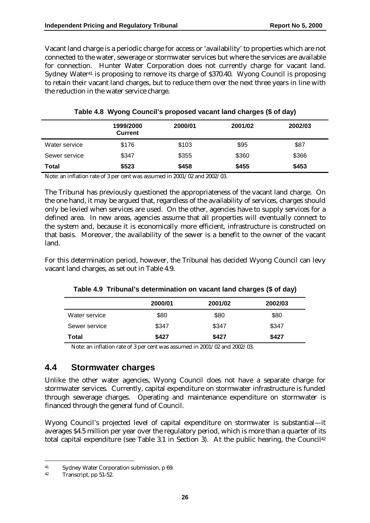Vacant land charge is a periodic charge for access or 'availability' to properties which are not connected to the water, sewerage or stormwater services but where the services are available for connection. Hunter Water Corporation does not currently charge for vacant land. Sydney Water<sup>41</sup> is proposing to remove its charge of \$370.40. Wyong Council is proposing to retain their vacant land charges, but to reduce them over the next three years in line with the reduction in the water service charge.

|               | 1999/2000<br><b>Current</b> | 2000/01 | 2001/02 | 2002/03 |
|---------------|-----------------------------|---------|---------|---------|
| Water service | \$176                       | \$103   | \$95    | \$87    |
| Sewer service | \$347                       | \$355   | \$360   | \$366   |
| Total         | \$523                       | \$458   | \$455   | \$453   |

|  |  |  | Table 4.8 Wyong Council's proposed vacant land charges (\$ of day) |  |  |  |  |  |  |  |
|--|--|--|--------------------------------------------------------------------|--|--|--|--|--|--|--|
|--|--|--|--------------------------------------------------------------------|--|--|--|--|--|--|--|

Note: an inflation rate of 3 per cent was assumed in 2001/02 and 2002/03.

The Tribunal has previously questioned the appropriateness of the vacant land charge. On the one hand, it may be argued that, regardless of the availability of services, charges should only be levied when services are used. On the other, agencies have to supply services for a defined area. In new areas, agencies assume that all properties will eventually connect to the system and, because it is economically more efficient, infrastructure is constructed on that basis. Moreover, the availability of the sewer is a benefit to the owner of the vacant land.

For this determination period, however, the Tribunal has decided Wyong Council can levy vacant land charges, as set out in Table 4.9.

|               | 2000/01 | 2001/02 | 2002/03 |
|---------------|---------|---------|---------|
| Water service | \$80    | \$80    | \$80    |
| Sewer service | \$347   | \$347   | \$347   |
| Total         | \$427   | \$427   | \$427   |

|  | Table 4.9 Tribunal's determination on vacant land charges (\$ of day) |  |  |  |
|--|-----------------------------------------------------------------------|--|--|--|
|  |                                                                       |  |  |  |

Note: an inflation rate of 3 per cent was assumed in 2001/02 and 2002/03.

### **4.4 Stormwater charges**

Unlike the other water agencies, Wyong Council does not have a separate charge for stormwater services. Currently, capital expenditure on stormwater infrastructure is funded through sewerage charges. Operating and maintenance expenditure on stormwater is financed through the general fund of Council.

Wyong Council's projected level of capital expenditure on stormwater is substantial—it averages \$4.5 million per year over the regulatory period, which is more than a quarter of its total capital expenditure (see Table 3.1 in Section 3). At the public hearing, the Council $42$ 

 $\overline{a}$ 

<sup>41</sup> Sydney Water Corporation submission, p 69.

<sup>42</sup> Transcript, pp 51-52.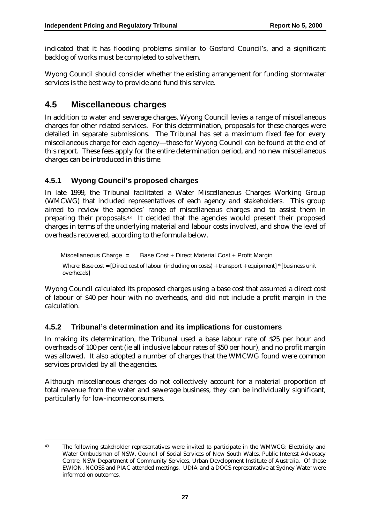indicated that it has flooding problems similar to Gosford Council's, and a significant backlog of works must be completed to solve them.

Wyong Council should consider whether the existing arrangement for funding stormwater services is the best way to provide and fund this service.

### **4.5 Miscellaneous charges**

In addition to water and sewerage charges, Wyong Council levies a range of miscellaneous charges for other related services. For this determination, proposals for these charges were detailed in separate submissions. The Tribunal has set a maximum fixed fee for every miscellaneous charge for each agency—those for Wyong Council can be found at the end of this report. These fees apply for the entire determination period, and no new miscellaneous charges can be introduced in this time.

### **4.5.1 Wyong Council's proposed charges**

In late 1999, the Tribunal facilitated a Water Miscellaneous Charges Working Group (WMCWG) that included representatives of each agency and stakeholders. This group aimed to review the agencies' range of miscellaneous charges and to assist them in preparing their proposals.43 It decided that the agencies would present their proposed charges in terms of the underlying material and labour costs involved, and show the level of overheads recovered, according to the formula below.

Miscellaneous Charge **=** Base Cost + Direct Material Cost + Profit Margin Where: Base cost = [Direct cost of labour (including on costs) + transport + equipment] \* [business unit overheads]

Wyong Council calculated its proposed charges using a base cost that assumed a direct cost of labour of \$40 per hour with no overheads, and did not include a profit margin in the calculation.

#### **4.5.2 Tribunal's determination and its implications for customers**

In making its determination, the Tribunal used a base labour rate of \$25 per hour and overheads of 100 per cent (ie all inclusive labour rates of \$50 per hour), and no profit margin was allowed. It also adopted a number of charges that the WMCWG found were common services provided by all the agencies.

Although miscellaneous charges do not collectively account for a material proportion of total revenue from the water and sewerage business, they can be individually significant, particularly for low-income consumers.

 $\overline{a}$ 43 The following stakeholder representatives were invited to participate in the WMWCG: Electricity and Water Ombudsman of NSW, Council of Social Services of New South Wales, Public Interest Advocacy Centre, NSW Department of Community Services, Urban Development Institute of Australia. Of those EWION, NCOSS and PIAC attended meetings. UDIA and a DOCS representative at Sydney Water were informed on outcomes.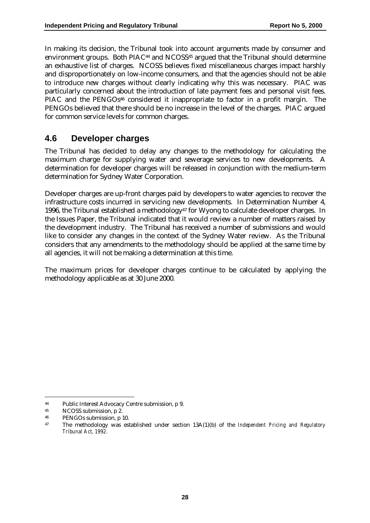In making its decision, the Tribunal took into account arguments made by consumer and environment groups. Both PIAC<sup>44</sup> and NCOSS<sup>45</sup> argued that the Tribunal should determine an exhaustive list of charges. NCOSS believes fixed miscellaneous charges impact harshly and disproportionately on low-income consumers, and that the agencies should not be able to introduce new charges without clearly indicating why this was necessary. PIAC was particularly concerned about the introduction of late payment fees and personal visit fees. PIAC and the PENGOs<sup>46</sup> considered it inappropriate to factor in a profit margin. The PENGOs believed that there should be no increase in the level of the charges. PIAC argued for common service levels for common charges.

### **4.6 Developer charges**

The Tribunal has decided to delay any changes to the methodology for calculating the maximum charge for supplying water and sewerage services to new developments. A determination for developer charges will be released in conjunction with the medium-term determination for Sydney Water Corporation.

Developer charges are up-front charges paid by developers to water agencies to recover the infrastructure costs incurred in servicing new developments. In Determination Number 4, 1996, the Tribunal established a methodology $47$  for Wyong to calculate developer charges. In the Issues Paper, the Tribunal indicated that it would review a number of matters raised by the development industry. The Tribunal has received a number of submissions and would like to consider any changes in the context of the Sydney Water review. As the Tribunal considers that any amendments to the methodology should be applied at the same time by all agencies, it will not be making a determination at this time.

The maximum prices for developer charges continue to be calculated by applying the methodology applicable as at 30 June 2000.

 $\overline{a}$ 44 Public Interest Advocacy Centre submission, p 9.

<sup>45</sup> NCOSS submission, p 2.

<sup>46</sup> PENGOs submission, p 10.

<sup>47</sup> The methodology was established under section 13A(1)(b) of the *Independent Pricing and Regulatory Tribunal Act, 1992.*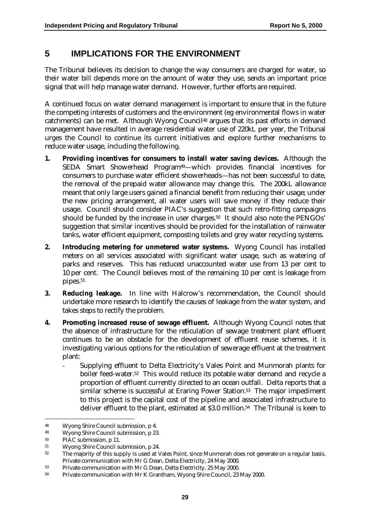# **5 IMPLICATIONS FOR THE ENVIRONMENT**

The Tribunal believes its decision to change the way consumers are charged for water, so their water bill depends more on the amount of water they use, sends an important price signal that will help manage water demand. However, further efforts are required.

A continued focus on water demand management is important to ensure that in the future the competing interests of customers and the environment (eg environmental flows in water catchments) can be met. Although Wyong Council<sup>48</sup> argues that its past efforts in demand management have resulted in average residential water use of 220kL per year, the Tribunal urges the Council to continue its current initiatives and explore further mechanisms to reduce water usage, including the following.

- **1. Providing incentives for consumers to install water saving devices.** Although the SEDA Smart Showerhead Program49—which provides financial incentives for consumers to purchase water efficient showerheads—has not been successful to date, the removal of the prepaid water allowance may change this. The 200kL allowance meant that only large users gained a financial benefit from reducing their usage; under the new pricing arrangement, all water users will save money if they reduce their usage. Council should consider PIAC's suggestion that such retro-fitting campaigns should be funded by the increase in user charges.<sup>50</sup> It should also note the PENGOs' suggestion that similar incentives should be provided for the installation of rainwater tanks, water efficient equipment, composting toilets and grey water recycling systems.
- **2. Introducing metering for unmetered water systems.** Wyong Council has installed meters on all services associated with significant water usage, such as watering of parks and reserves. This has reduced unaccounted water use from 13 per cent to 10 per cent. The Council believes most of the remaining 10 per cent is leakage from pipes.<sup>51</sup>
- **3. Reducing leakage.** In line with Halcrow's recommendation, the Council should undertake more research to identify the causes of leakage from the water system, and takes steps to rectify the problem.
- **4. Promoting increased reuse of sewage effluent.** Although Wyong Council notes that the absence of infrastructure for the reticulation of sewage treatment plant effluent continues to be an obstacle for the development of effluent reuse schemes, it is investigating various options for the reticulation of sewerage effluent at the treatment plant:
	- Supplying effluent to Delta Electricity's Vales Point and Munmorah plants for boiler feed-water.52 This would reduce its potable water demand and recycle a proportion of effluent currently directed to an ocean outfall. Delta reports that a similar scheme is successful at Eraring Power Station.<sup>53</sup> The major impediment to this project is the capital cost of the pipeline and associated infrastructure to deliver effluent to the plant, estimated at \$3.0 million.54 The Tribunal is keen to

 $\overline{a}$ 

<sup>48</sup> Wyong Shire Council submission, p 4.

<sup>49</sup> Wyong Shire Council submission, p 23.

<sup>50</sup> PIAC submission, p 11.

<sup>51</sup> Wyong Shire Council submission, p 24.

<sup>&</sup>lt;sup>52</sup> The majority of this supply is used at Vales Point, since Munmorah does not generate on a regular basis. Private communication with Mr G Dean, Delta Electricity, 24 May 2000.

<sup>53</sup> Private communication with Mr G Dean, Delta Electricity, 25 May 2000.

<sup>54</sup> Private communication with Mr K Grantham, Wyong Shire Council, 23 May 2000.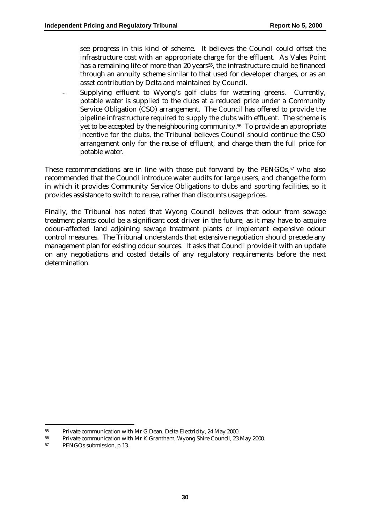see progress in this kind of scheme. It believes the Council could offset the infrastructure cost with an appropriate charge for the effluent. As Vales Point has a remaining life of more than 20 years<sup>55</sup>, the infrastructure could be financed through an annuity scheme similar to that used for developer charges, or as an asset contribution by Delta and maintained by Council.

Supplying effluent to Wyong's golf clubs for watering greens. Currently, potable water is supplied to the clubs at a reduced price under a Community Service Obligation (CSO) arrangement. The Council has offered to provide the pipeline infrastructure required to supply the clubs with effluent. The scheme is yet to be accepted by the neighbouring community.56 To provide an appropriate incentive for the clubs, the Tribunal believes Council should continue the CSO arrangement only for the reuse of effluent, and charge them the full price for potable water.

These recommendations are in line with those put forward by the PENGOs,<sup>57</sup> who also recommended that the Council introduce water audits for large users, and change the form in which it provides Community Service Obligations to clubs and sporting facilities, so it provides assistance to switch to reuse, rather than discounts usage prices.

Finally, the Tribunal has noted that Wyong Council believes that odour from sewage treatment plants could be a significant cost driver in the future, as it may have to acquire odour-affected land adjoining sewage treatment plants or implement expensive odour control measures. The Tribunal understands that extensive negotiation should precede any management plan for existing odour sources. It asks that Council provide it with an update on any negotiations and costed details of any regulatory requirements before the next determination.

 $\overline{a}$ 

<sup>&</sup>lt;sup>55</sup> Private communication with Mr G Dean, Delta Electricity, 24 May 2000.<br><sup>56</sup> Private communication with Mr K Crantham Wyong Shire Council 23

<sup>&</sup>lt;sup>56</sup> Private communication with Mr K Grantham, Wyong Shire Council, 23 May 2000.<br><sup>57</sup> PENCOs submission p. 13

PENGOs submission, p 13.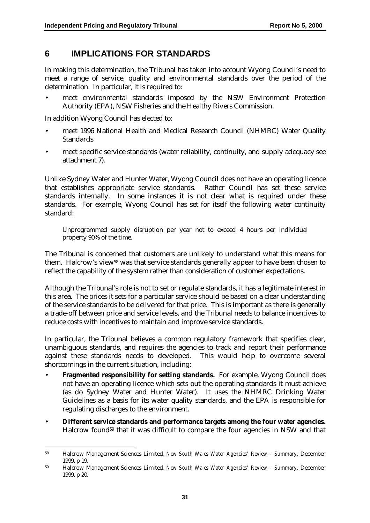### **6 IMPLICATIONS FOR STANDARDS**

In making this determination, the Tribunal has taken into account Wyong Council's need to meet a range of service, quality and environmental standards over the period of the determination. In particular, it is required to:

• meet environmental standards imposed by the NSW Environment Protection Authority (EPA), NSW Fisheries and the Healthy Rivers Commission.

In addition Wyong Council has elected to:

 $\overline{a}$ 

- meet 1996 National Health and Medical Research Council (NHMRC) Water Quality Standards
- meet specific service standards (water reliability, continuity, and supply adequacy see attachment 7).

Unlike Sydney Water and Hunter Water, Wyong Council does not have an operating licence that establishes appropriate service standards. Rather Council has set these service standards internally. In some instances it is not clear what is required under these standards. For example, Wyong Council has set for itself the following water continuity standard:

Unprogrammed supply disruption per year not to exceed 4 hours per individual property 90% of the time.

The Tribunal is concerned that customers are unlikely to understand what this means for them. Halcrow's view<sup>58</sup> was that service standards generally appear to have been chosen to reflect the capability of the system rather than consideration of customer expectations.

Although the Tribunal's role is not to set or regulate standards, it has a legitimate interest in this area. The prices it sets for a particular service should be based on a clear understanding of the service standards to be delivered for that price. This is important as there is generally a trade-off between price and service levels, and the Tribunal needs to balance incentives to reduce costs with incentives to maintain and improve service standards.

In particular, the Tribunal believes a common regulatory framework that specifies clear, unambiguous standards, and requires the agencies to track and report their performance against these standards needs to developed. This would help to overcome several shortcomings in the current situation, including:

- **Fragmented responsibility for setting standards.** For example, Wyong Council does not have an operating licence which sets out the operating standards it must achieve (as do Sydney Water and Hunter Water). It uses the NHMRC Drinking Water Guidelines as a basis for its water quality standards, and the EPA is responsible for regulating discharges to the environment.
- **Different service standards and performance targets among the four water agencies.** Halcrow found59 that it was difficult to compare the four agencies in NSW and that

<sup>58</sup> Halcrow Management Sciences Limited, *New South Wales Water Agencies' Review – Summary*, December 1999, p 19.

<sup>59</sup> Halcrow Management Sciences Limited, *New South Wales Water Agencies' Review – Summary*, December 1999, p 20.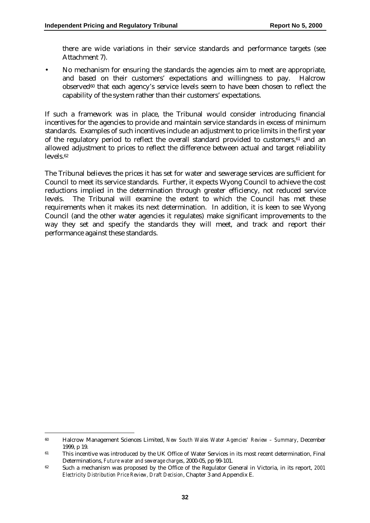there are wide variations in their service standards and performance targets (see Attachment 7).

• No mechanism for ensuring the standards the agencies aim to meet are appropriate, and based on their customers' expectations and willingness to pay. Halcrow observed60 that each agency's service levels seem to have been chosen to reflect the capability of the system rather than their customers' expectations.

If such a framework was in place, the Tribunal would consider introducing financial incentives for the agencies to provide and maintain service standards in excess of minimum standards. Examples of such incentives include an adjustment to price limits in the first year of the regulatory period to reflect the overall standard provided to customers, $61$  and an allowed adjustment to prices to reflect the difference between actual and target reliability levels.62

The Tribunal believes the prices it has set for water and sewerage services are sufficient for Council to meet its service standards. Further, it expects Wyong Council to achieve the cost reductions implied in the determination through greater efficiency, not reduced service levels. The Tribunal will examine the extent to which the Council has met these requirements when it makes its next determination. In addition, it is keen to see Wyong Council (and the other water agencies it regulates) make significant improvements to the way they set and specify the standards they will meet, and track and report their performance against these standards.

 $\overline{a}$ 

<sup>60</sup> Halcrow Management Sciences Limited, *New South Wales Water Agencies' Review – Summary*, December 1999, p 19.

<sup>&</sup>lt;sup>61</sup> This incentive was introduced by the UK Office of Water Services in its most recent determination, Final Determinations, *Future water and sewerage charges*, 2000-05, pp 99-101.

<sup>62</sup> Such a mechanism was proposed by the Office of the Regulator General in Victoria, in its report, *2001 Electricity Distribution Price Review, Draft Decision*, Chapter 3 and Appendix E.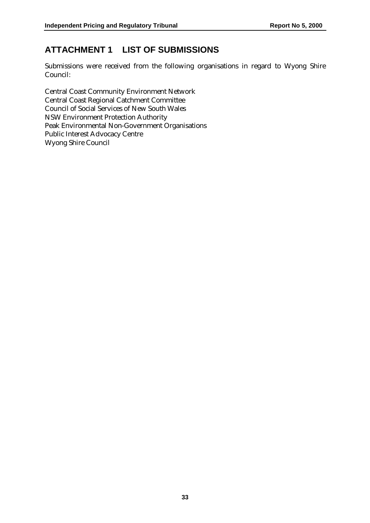# **ATTACHMENT 1 LIST OF SUBMISSIONS**

Submissions were received from the following organisations in regard to Wyong Shire Council:

Central Coast Community Environment Network Central Coast Regional Catchment Committee Council of Social Services of New South Wales NSW Environment Protection Authority Peak Environmental Non-Government Organisations Public Interest Advocacy Centre Wyong Shire Council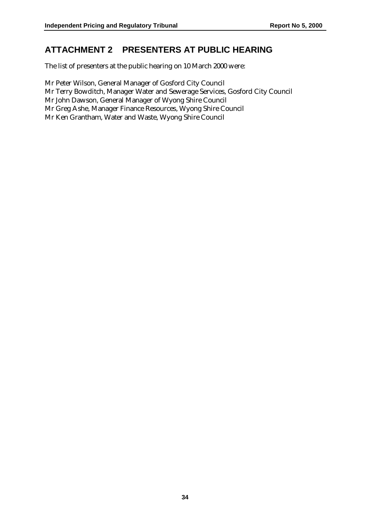# **ATTACHMENT 2 PRESENTERS AT PUBLIC HEARING**

The list of presenters at the public hearing on 10 March 2000 were:

Mr Peter Wilson, General Manager of Gosford City Council Mr Terry Bowditch, Manager Water and Sewerage Services, Gosford City Council Mr John Dawson, General Manager of Wyong Shire Council Mr Greg Ashe, Manager Finance Resources, Wyong Shire Council Mr Ken Grantham, Water and Waste, Wyong Shire Council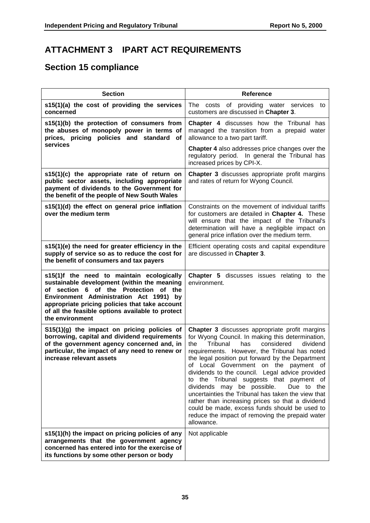# **ATTACHMENT 3 IPART ACT REQUIREMENTS**

# **Section 15 compliance**

| <b>Section</b>                                                                                                                                                                                                                                                                                        | Reference                                                                                                                                                                                                                                                                                                                                                                                                                                                                                                                                                                                                                                                                   |
|-------------------------------------------------------------------------------------------------------------------------------------------------------------------------------------------------------------------------------------------------------------------------------------------------------|-----------------------------------------------------------------------------------------------------------------------------------------------------------------------------------------------------------------------------------------------------------------------------------------------------------------------------------------------------------------------------------------------------------------------------------------------------------------------------------------------------------------------------------------------------------------------------------------------------------------------------------------------------------------------------|
| s15(1)(a) the cost of providing the services<br>concerned                                                                                                                                                                                                                                             | The costs of providing water services to<br>customers are discussed in Chapter 3.                                                                                                                                                                                                                                                                                                                                                                                                                                                                                                                                                                                           |
| s15(1)(b) the protection of consumers from<br>the abuses of monopoly power in terms of<br>prices, pricing policies and standard<br>оf                                                                                                                                                                 | Chapter 4 discusses how the Tribunal has<br>managed the transition from a prepaid water<br>allowance to a two part tariff.                                                                                                                                                                                                                                                                                                                                                                                                                                                                                                                                                  |
| services                                                                                                                                                                                                                                                                                              | Chapter 4 also addresses price changes over the<br>regulatory period. In general the Tribunal has<br>increased prices by CPI-X.                                                                                                                                                                                                                                                                                                                                                                                                                                                                                                                                             |
| s15(1)(c) the appropriate rate of return on<br>public sector assets, including appropriate<br>payment of dividends to the Government for<br>the benefit of the people of New South Wales                                                                                                              | <b>Chapter 3</b> discusses appropriate profit margins<br>and rates of return for Wyong Council.                                                                                                                                                                                                                                                                                                                                                                                                                                                                                                                                                                             |
| s15(1)(d) the effect on general price inflation<br>over the medium term                                                                                                                                                                                                                               | Constraints on the movement of individual tariffs<br>for customers are detailed in Chapter 4. These<br>will ensure that the impact of the Tribunal's<br>determination will have a negligible impact on<br>general price inflation over the medium term.                                                                                                                                                                                                                                                                                                                                                                                                                     |
| s15(1)(e) the need for greater efficiency in the<br>supply of service so as to reduce the cost for<br>the benefit of consumers and tax payers                                                                                                                                                         | Efficient operating costs and capital expenditure<br>are discussed in Chapter 3.                                                                                                                                                                                                                                                                                                                                                                                                                                                                                                                                                                                            |
| s15(1)f the need to maintain ecologically<br>sustainable development (within the meaning<br>of section 6 of the Protection of the<br>Environment Administration Act 1991) by<br>appropriate pricing policies that take account<br>of all the feasible options available to protect<br>the environment | <b>Chapter 5</b> discusses issues relating to the<br>environment.                                                                                                                                                                                                                                                                                                                                                                                                                                                                                                                                                                                                           |
| S15(1)(g) the impact on pricing policies of<br>borrowing, capital and dividend requirements<br>of the government agency concerned and, in<br>particular, the impact of any need to renew or<br>increase relevant assets                                                                               | Chapter 3 discusses appropriate profit margins<br>for Wyong Council. In making this determination,<br>Tribunal<br>has<br>considered<br>the<br>dividend<br>requirements. However, the Tribunal has noted<br>the legal position put forward by the Department<br>of Local Government on the payment of<br>dividends to the council. Legal advice provided<br>to the Tribunal suggests that payment of<br>dividends may be possible.<br>Due to the<br>uncertainties the Tribunal has taken the view that<br>rather than increasing prices so that a dividend<br>could be made, excess funds should be used to<br>reduce the impact of removing the prepaid water<br>allowance. |
| s15(1)(h) the impact on pricing policies of any<br>arrangements that the government agency<br>concerned has entered into for the exercise of<br>its functions by some other person or body                                                                                                            | Not applicable                                                                                                                                                                                                                                                                                                                                                                                                                                                                                                                                                                                                                                                              |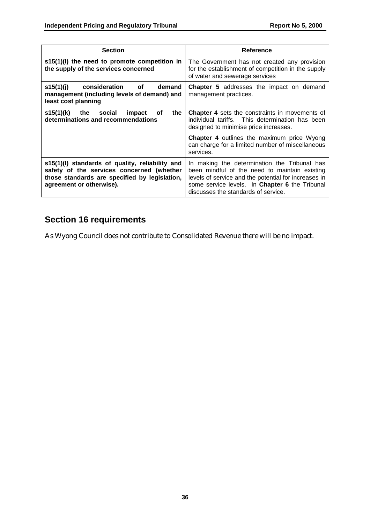| <b>Section</b>                                                                                                                                                            | Reference                                                                                                                                                                                                                                      |
|---------------------------------------------------------------------------------------------------------------------------------------------------------------------------|------------------------------------------------------------------------------------------------------------------------------------------------------------------------------------------------------------------------------------------------|
| $s15(1)(l)$ the need to promote competition in<br>the supply of the services concerned                                                                                    | The Government has not created any provision<br>for the establishment of competition in the supply<br>of water and sewerage services                                                                                                           |
| s15(1)(j) consideration of<br>demand<br>management (including levels of demand) and<br>least cost planning                                                                | <b>Chapter 5</b> addresses the impact on demand<br>management practices.                                                                                                                                                                       |
| s15(1)(k) the social<br>impact<br>оf<br>the<br>determinations and recommendations                                                                                         | <b>Chapter 4</b> sets the constraints in movements of<br>individual tariffs. This determination has been<br>designed to minimise price increases.                                                                                              |
|                                                                                                                                                                           | Chapter 4 outlines the maximum price Wyong<br>can charge for a limited number of miscellaneous<br>services.                                                                                                                                    |
| s15(1)(I) standards of quality, reliability and<br>safety of the services concerned (whether<br>those standards are specified by legislation,<br>agreement or otherwise). | In making the determination the Tribunal has<br>been mindful of the need to maintain existing<br>levels of service and the potential for increases in<br>some service levels. In Chapter 6 the Tribunal<br>discusses the standards of service. |

# **Section 16 requirements**

As Wyong Council does not contribute to Consolidated Revenue there will be no impact.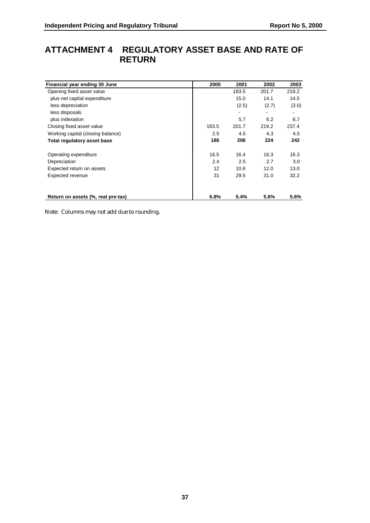# **ATTACHMENT 4 REGULATORY ASSET BASE AND RATE OF RETURN**

| Financial year ending 30 June      | 2000  | 2001  | 2002  | 2003  |
|------------------------------------|-------|-------|-------|-------|
| Opening fixed asset value          |       | 183.5 | 201.7 | 219.2 |
| plus net capital expenditure       |       | 15.0  | 14.1  | 14.5  |
| less depreciation                  |       | (2.5) | (2.7) | (3.0) |
| less disposals                     |       | ۰     |       |       |
| plus indexation                    |       | 5.7   | 6.2   | 6.7   |
| Closing fixed asset value          | 183.5 | 201.7 | 219.2 | 237.4 |
| Working capital (closing balance)  | 2.5   | 4.5   | 4.3   | 4.5   |
| Total regulatory asset base        | 186   | 206   | 224   | 242   |
| Operating expenditure              | 16.5  | 16.4  | 16.3  | 16.3  |
| Depreciation                       | 2.4   | 2.5   | 2.7   | 3.0   |
| Expected return on assets          | 12    | 10.6  | 12.0  | 13.0  |
| Expected revenue                   | 31    | 29.5  | 31.0  | 32.2  |
| Return on assets (%, real pre-tax) | 6.8%  | 5.4%  | 5.6%  | 5.6%  |

Note: Columns may not add due to rounding.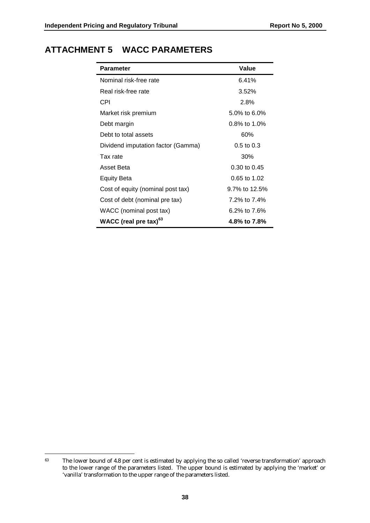| <b>Parameter</b>                   | Value           |
|------------------------------------|-----------------|
| Nominal risk-free rate             | 6.41%           |
| Real risk-free rate                | 3.52%           |
| CPI                                | 2.8%            |
| Market risk premium                | 5.0% to 6.0%    |
| Debt margin                        | $0.8\%$ to 1.0% |
| Debt to total assets               | 60%             |
| Dividend imputation factor (Gamma) | $0.5$ to $0.3$  |
| Tax rate                           | 30%             |
| Asset Beta                         | 0.30 to 0.45    |
| <b>Equity Beta</b>                 | 0.65 to 1.02    |
| Cost of equity (nominal post tax)  | 9.7% to 12.5%   |
| Cost of debt (nominal pre tax)     | 7.2% to 7.4%    |
| WACC (nominal post tax)            | 6.2% to 7.6%    |
| WACC (real pre tax) <sup>63</sup>  | 4.8% to 7.8%    |

 $\overline{a}$ <sup>63</sup> The lower bound of 4.8 per cent is estimated by applying the so called 'reverse transformation' approach to the lower range of the parameters listed. The upper bound is estimated by applying the 'market' or 'vanilla' transformation to the upper range of the parameters listed.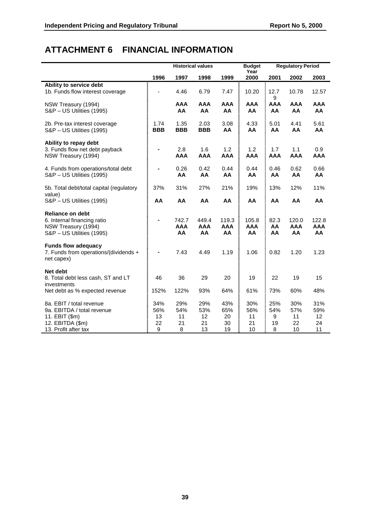# **ATTACHMENT 6 FINANCIAL INFORMATION**

|                                                                                                                      |                             |                             | <b>Historical values</b>     |                              | <b>Budget</b><br>Year            |                            | <b>Regulatory Period</b>     |                              |
|----------------------------------------------------------------------------------------------------------------------|-----------------------------|-----------------------------|------------------------------|------------------------------|----------------------------------|----------------------------|------------------------------|------------------------------|
|                                                                                                                      | 1996                        | 1997                        | 1998                         | 1999                         | 2000                             | 2001                       | 2002                         | 2003                         |
| Ability to service debt<br>1b. Funds flow interest coverage                                                          |                             | 4.46                        | 6.79                         | 7.47                         | 10.20                            | 12.7<br>9                  | 10.78                        | 12.57                        |
| NSW Treasury (1994)<br>S&P - US Utilities (1995)                                                                     |                             | <b>AAA</b><br>AA            | <b>AAA</b><br>AA             | <b>AAA</b><br>AA             | <b>AAA</b><br>AA                 | <b>AAA</b><br>AA           | <b>AAA</b><br>AA             | <b>AAA</b><br>AA             |
| 2b. Pre-tax interest coverage<br>S&P - US Utilities (1995)                                                           | 1.74<br><b>BBB</b>          | 1.35<br><b>BBB</b>          | 2.03<br><b>BBB</b>           | 3.08<br>AA                   | 4.33<br>AA                       | 5.01<br>AA                 | 4.41<br>AA                   | 5.61<br>AA                   |
| Ability to repay debt<br>3. Funds flow net debt payback<br>NSW Treasury (1994)                                       | $\blacksquare$              | 2.8<br>AAA                  | 1.6<br><b>AAA</b>            | 1.2<br><b>AAA</b>            | 1.2<br><b>AAA</b>                | 1.7<br><b>AAA</b>          | 1.1<br><b>AAA</b>            | 0.9<br><b>AAA</b>            |
| 4. Funds from operations/total debt<br>S&P - US Utilities (1995)                                                     |                             | 0.26<br>AA                  | 0.42<br>AA                   | 0.44<br>AA                   | 0.44<br>AA                       | 0.46<br>AA                 | 0.62<br>AA                   | 0.66<br>AA                   |
| 5b. Total debt/total capital (regulatory<br>value)                                                                   | 37%                         | 31%                         | 27%                          | 21%                          | 19%                              | 13%                        | 12%                          | 11%                          |
| S&P - US Utilities (1995)                                                                                            | AA                          | AA                          | AA                           | AA                           | AA                               | AA                         | AA                           | AA                           |
| <b>Reliance on debt</b><br>6. Internal financing ratio<br>NSW Treasury (1994)<br>S&P - US Utilities (1995)           |                             | 742.7<br><b>AAA</b><br>AA   | 449.4<br><b>AAA</b><br>AA    | 119.3<br><b>AAA</b><br>AA    | 105.8<br><b>AAA</b><br><b>AA</b> | 82.3<br>AA<br>AA           | 120.0<br><b>AAA</b><br>AA    | 122.8<br><b>AAA</b><br>AA    |
| <b>Funds flow adequacy</b><br>7. Funds from operations/(dividends +<br>net capex)                                    |                             | 7.43                        | 4.49                         | 1.19                         | 1.06                             | 0.82                       | 1.20                         | 1.23                         |
| Net debt<br>8. Total debt less cash, ST and LT<br>investments                                                        | 46                          | 36                          | 29                           | 20                           | 19                               | 22                         | 19                           | 15                           |
| Net debt as % expected revenue                                                                                       | 152%                        | 122%                        | 93%                          | 64%                          | 61%                              | 73%                        | 60%                          | 48%                          |
| 8a. EBIT / total revenue<br>9a. EBITDA / total revenue<br>11. EBIT (\$m)<br>12. EBITDA (\$m)<br>13. Profit after tax | 34%<br>56%<br>13<br>22<br>9 | 29%<br>54%<br>11<br>21<br>8 | 29%<br>53%<br>12<br>21<br>13 | 43%<br>65%<br>20<br>30<br>19 | 30%<br>56%<br>11<br>21<br>10     | 25%<br>54%<br>9<br>19<br>8 | 30%<br>57%<br>11<br>22<br>10 | 31%<br>59%<br>12<br>24<br>11 |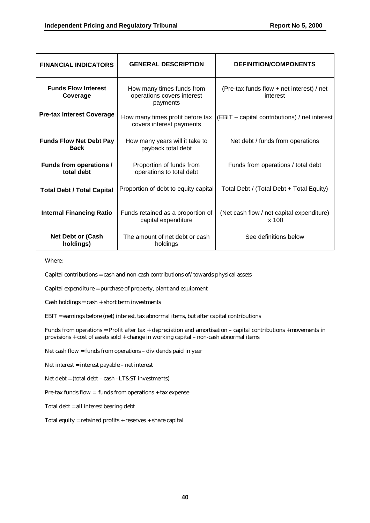| <b>FINANCIAL INDICATORS</b>                   | <b>GENERAL DESCRIPTION</b>                                          | <b>DEFINITION/COMPONENTS</b>                          |
|-----------------------------------------------|---------------------------------------------------------------------|-------------------------------------------------------|
| <b>Funds Flow Interest</b><br>Coverage        | How many times funds from<br>operations covers interest<br>payments | (Pre-tax funds flow + net interest) / net<br>interest |
| <b>Pre-tax Interest Coverage</b>              | How many times profit before tax<br>covers interest payments        | (EBIT – capital contributions) / net interest         |
| <b>Funds Flow Net Debt Pay</b><br><b>Back</b> | How many years will it take to<br>payback total debt                | Net debt / funds from operations                      |
| <b>Funds from operations /</b><br>total debt  | Proportion of funds from<br>operations to total debt                | Funds from operations / total debt                    |
| <b>Total Debt / Total Capital</b>             | Proportion of debt to equity capital                                | Total Debt / (Total Debt + Total Equity)              |
| <b>Internal Financing Ratio</b>               | Funds retained as a proportion of<br>capital expenditure            | (Net cash flow / net capital expenditure)<br>$x$ 100  |
| <b>Net Debt or (Cash</b><br>holdings)         | The amount of net debt or cash<br>holdings                          | See definitions below                                 |

Where:

Capital contributions = cash and non-cash contributions of/towards physical assets

Capital expenditure = purchase of property, plant and equipment

 $Cash holdings = cash + short term investments$ 

EBIT = earnings before (net) interest, tax abnormal items, but after capital contributions

Funds from operations = Profit after tax + depreciation and amortisation – capital contributions +movements in provisions + cost of assets sold + change in working capital – non-cash abnormal items

Net cash flow = funds from operations – dividends paid in year

Net interest = interest payable – net interest

Net debt = (total debt – cash –LT&ST investments)

Pre-tax funds flow = funds from operations + tax expense

Total debt = all interest bearing debt

Total equity = retained profits + reserves + share capital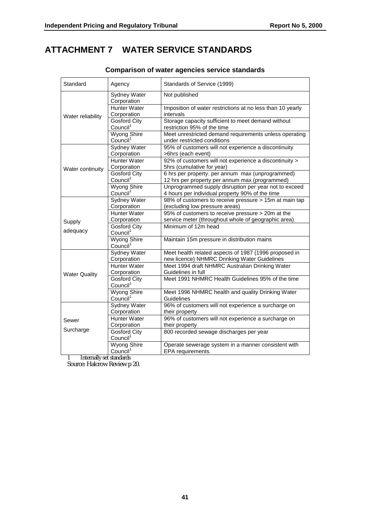# **ATTACHMENT 7 WATER SERVICE STANDARDS**

| Standard             | Agency                                      | Standards of Service (1999)                                                                              |
|----------------------|---------------------------------------------|----------------------------------------------------------------------------------------------------------|
|                      | Sydney Water<br>Corporation                 | Not published                                                                                            |
| Water reliability    | <b>Hunter Water</b><br>Corporation          | Imposition of water restrictions at no less than 10 yearly<br>intervals                                  |
|                      | Gosford City<br>Council <sup>1</sup>        | Storage capacity sufficient to meet demand without<br>restriction 95% of the time                        |
|                      | <b>Wyong Shire</b><br>Council <sup>1</sup>  | Meet unrestricted demand requirements unless operating<br>under restricted conditions                    |
|                      | <b>Sydney Water</b><br>Corporation          | 95% of customers will not experience a discontinuity<br>>6hrs (each event)                               |
| Water continuity     | <b>Hunter Water</b><br>Corporation          | 92% of customers will not experience a discontinuity ><br>5hrs (cumulative for year)                     |
|                      | <b>Gosford City</b><br>Council <sup>1</sup> | 6 hrs per property. per annum max (unprogrammed)<br>12 hrs per property per annum max (programmed)       |
|                      | <b>Wyong Shire</b><br>Council <sup>1</sup>  | Unprogrammed supply disruption per year not to exceed<br>4 hours per individual property 90% of the time |
|                      | Sydney Water<br>Corporation                 | 98% of customers to receive pressure > 15m at main tap<br>(excluding low pressure areas)                 |
| Supply               | Hunter Water<br>Corporation                 | 95% of customers to receive pressure > 20m at the<br>service meter (throughout whole of geographic area) |
| adequacy             | <b>Gosford City</b><br>Council <sup>1</sup> | Minimum of 12m head                                                                                      |
|                      | <b>Wyong Shire</b><br>Council <sup>1</sup>  | Maintain 15m pressure in distribution mains                                                              |
|                      | Sydney Water<br>Corporation                 | Meet health related aspects of 1987 (1996 proposed in<br>new licence) NHMRC Drinking Water Guidelines    |
| <b>Water Quality</b> | <b>Hunter Water</b><br>Corporation          | Meet 1994 draft NHMRC Australian Drinking Water<br>Guidelines in full                                    |
|                      | Gosford City<br>Council <sup>1</sup>        | Meet 1991 NHMRC Health Guidelines 95% of the time                                                        |
|                      | <b>Wyong Shire</b><br>Council <sup>1</sup>  | Meet 1996 NHMRC health and quality Drinking Water<br>Guidelines                                          |
|                      | <b>Sydney Water</b><br>Corporation          | 96% of customers will not experience a surcharge on<br>their property                                    |
| Sewer                | <b>Hunter Water</b><br>Corporation          | 96% of customers will not experience a surcharge on<br>their property                                    |
| Surcharge            | <b>Gosford City</b><br>Council <sup>1</sup> | 800 recorded sewage discharges per year                                                                  |
|                      | <b>Wyong Shire</b><br>Council <sup>1</sup>  | Operate sewerage system in a manner consistent with<br>EPA requirements.                                 |

### **Comparison of water agencies service standards**

1 Internally set standards

Source: Halcrow Review p 20.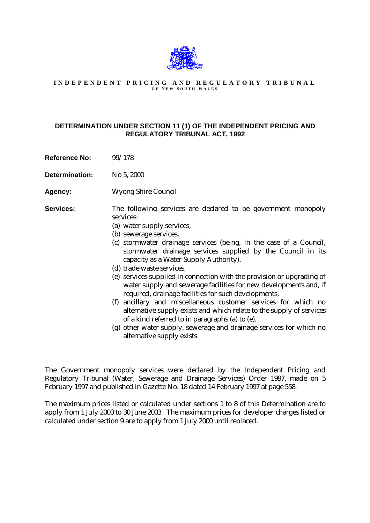

#### **INDEPENDENT PRICING AND REGULATORY TRIBUNAL O F N EW S OUTH W ALES**

#### **DETERMINATION UNDER SECTION 11 (1) OF THE INDEPENDENT PRICING AND REGULATORY TRIBUNAL ACT, 1992**

**Reference No:** 99/178

**Determination:** No 5, 2000

**Agency:** Wyong Shire Council

**Services:** The following services are declared to be government monopoly services:

- (a) water supply services,
- (b) sewerage services,
- (c) stormwater drainage services (being, in the case of a Council, stormwater drainage services supplied by the Council in its capacity as a Water Supply Authority),
- (d) trade waste services,
- (e) services supplied in connection with the provision or upgrading of water supply and sewerage facilities for new developments and, if required, drainage facilities for such developments,
- (f) ancillary and miscellaneous customer services for which no alternative supply exists and which relate to the supply of services of a kind referred to in paragraphs (a) to (e),
- (g) other water supply, sewerage and drainage services for which no alternative supply exists.

The Government monopoly services were declared by the Independent Pricing and Regulatory Tribunal (Water, Sewerage and Drainage Services) Order 1997, made on 5 February 1997 and published in Gazette No. 18 dated 14 February 1997 at page 558.

The maximum prices listed or calculated under sections 1 to 8 of this Determination are to apply from 1 July 2000 to 30 June 2003. The maximum prices for developer charges listed or calculated under section 9 are to apply from 1 July 2000 until replaced.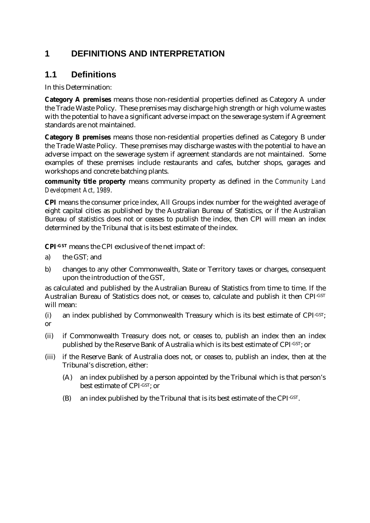# **1 DEFINITIONS AND INTERPRETATION**

# **1.1 Definitions**

In this Determination:

**Category A premises** means those non-residential properties defined as Category A under the Trade Waste Policy. These premises may discharge high strength or high volume wastes with the potential to have a significant adverse impact on the sewerage system if Agreement standards are not maintained.

**Category B premises** means those non-residential properties defined as Category B under the Trade Waste Policy. These premises may discharge wastes with the potential to have an adverse impact on the sewerage system if agreement standards are not maintained. Some examples of these premises include restaurants and cafes, butcher shops, garages and workshops and concrete batching plants.

**community title property** means community property as defined in the *Community Land Development Act, 1989*.

**CPI** means the consumer price index, All Groups index number for the weighted average of eight capital cities as published by the Australian Bureau of Statistics, or if the Australian Bureau of statistics does not or ceases to publish the index, then CPI will mean an index determined by the Tribunal that is its best estimate of the index.

**CPI-GST** means the CPI exclusive of the net impact of:

- a) the GST*;* and
- b) changes to any other Commonwealth, State or Territory taxes or charges, consequent upon the introduction of the GST,

as calculated and published by the Australian Bureau of Statistics from time to time. If the Australian Bureau of Statistics does not, or ceases to, calculate and publish it then CPI-GST will mean:

- (i) an index published by Commonwealth Treasury which is its best estimate of CPI-GST; or
- (ii) if Commonwealth Treasury does not, or ceases to, publish an index then an index published by the Reserve Bank of Australia which is its best estimate of CPI-GST; or
- (iii) if the Reserve Bank of Australia does not, or ceases to, publish an index, then at the Tribunal's discretion, either:
	- (A) an index published by a person appointed by the Tribunal which is that person's best estimate of CPI-GST; or
	- (B) an index published by the Tribunal that is its best estimate of the CPI-GST.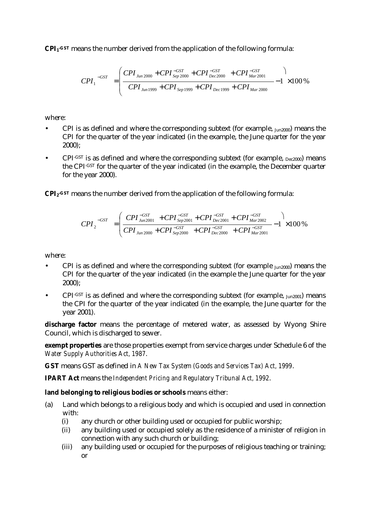**CPI1-GST** means the number derived from the application of the following formula:

$$
CPI_1^{-GST} = \left(\frac{CPI_{Jun\,2000} + CPI_{Sep\,2000}^{-GST} + CPI_{Dec\,2000}^{-GST} + CPI_{Mar\,2001}^{-GST}}{CPI_{Jun\,1999} + CPI_{Sep\,1999} + CPI_{Dec\,1999} + CPI_{Dec\,1999} + CPI_{Mar\,2000}} - 1 \right) \times 100\%
$$

where:

- CPI is as defined and where the corresponding subtext (for example,  $I_{\text{un}2000}$ ) means the CPI for the quarter of the year indicated (in the example, the June quarter for the year 2000);
- CPI-GST is as defined and where the corresponding subtext (for example,  $_{\text{Dec2000}}$ ) means the CPI-GST for the quarter of the year indicated (in the example, the December quarter for the year 2000).

**CPI2-GST** means the number derived from the application of the following formula:

$$
CPI_{2}^{\ -GST} = \left(\frac{CPI_{Jun2001}^{\ -GST} + CPI_{Sep2001}^{\ -GST} + CPI_{Dec2001}^{\ -GST} + CPI_{Mar2002}^{\ -GST}}{CPI_{Jun2000}^{\ -} + CPI_{Sep2000}^{\ -GST} + CPI_{Dec2000}^{\ -GST} + CPI_{Mar2001}^{\ -GST}} - 1\right) \times 100\%
$$

where:

- CPI is as defined and where the corresponding subtext (for example  $_{Jun2000}$ ) means the CPI for the quarter of the year indicated (in the example the June quarter for the year 2000);
- CPI-GST is as defined and where the corresponding subtext (for example,  $J_{1112001}$ ) means the CPI for the quarter of the year indicated (in the example, the June quarter for the year 2001).

discharge factor means the percentage of metered water, as assessed by Wyong Shire Council, which is discharged to sewer.

**exempt properties** are those properties exempt from service charges under Schedule 6 of the *Water Supply Authorities Act, 1987*.

**GST** means GST as defined in *A New Tax System (Goods and Services Tax) Act, 1999*.

**IPART Act** means the *Independent Pricing and Regulatory Tribunal Act, 1992*.

#### **land belonging to religious bodies or schools** means either:

- (a) Land which belongs to a religious body and which is occupied and used in connection with:
	- (i) any church or other building used or occupied for public worship;
	- (ii) any building used or occupied solely as the residence of a minister of religion in connection with any such church or building;
	- (iii) any building used or occupied for the purposes of religious teaching or training; or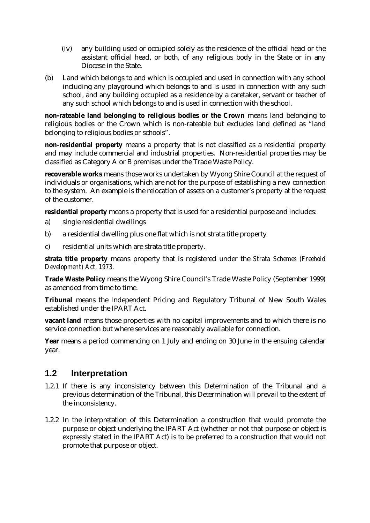- (iv) any building used or occupied solely as the residence of the official head or the assistant official head, or both, of any religious body in the State or in any Diocese in the State.
- (b) Land which belongs to and which is occupied and used in connection with any school including any playground which belongs to and is used in connection with any such school, and any building occupied as a residence by a caretaker, servant or teacher of any such school which belongs to and is used in connection with the school.

**non-rateable land belonging to religious bodies or the Crown** means land belonging to religious bodies or the Crown which is non-rateable but excludes land defined as "land belonging to religious bodies or schools".

**non-residential property** means a property that is not classified as a residential property and may include commercial and industrial properties. Non-residential properties may be classified as Category A or B premises under the Trade Waste Policy.

**recoverable works** means those works undertaken by Wyong Shire Council at the request of individuals or organisations, which are not for the purpose of establishing a new connection to the system. An example is the relocation of assets on a customer's property at the request of the customer.

**residential property** means a property that is used for a residential purpose and includes:

- a) single residential dwellings
- b) a residential dwelling plus one flat which is not strata title property
- c) residential units which are strata title property.

**strata title property** means property that is registered under the *Strata Schemes (Freehold Development) Act, 1973.*

**Trade Waste Policy** means the Wyong Shire Council's Trade Waste Policy (September 1999) as amended from time to time.

**Tribunal** means the Independent Pricing and Regulatory Tribunal of New South Wales established under the IPART Act.

**vacant land** means those properties with no capital improvements and to which there is no service connection but where services are reasonably available for connection.

**Year** means a period commencing on 1 July and ending on 30 June in the ensuing calendar year.

### **1.2 Interpretation**

- 1.2.1 If there is any inconsistency between this Determination of the Tribunal and a previous determination of the Tribunal, this Determination will prevail to the extent of the inconsistency.
- 1.2.2 In the interpretation of this Determination a construction that would promote the purpose or object underlying the IPART Act (whether or not that purpose or object is expressly stated in the IPART Act) is to be preferred to a construction that would not promote that purpose or object.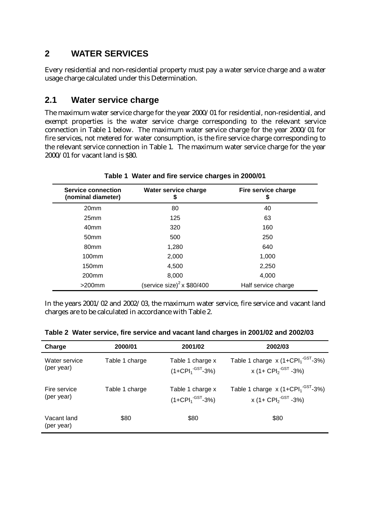# **2 WATER SERVICES**

Every residential and non-residential property must pay a water service charge and a water usage charge calculated under this Determination.

# **2.1 Water service charge**

The maximum water service charge for the year 2000/01 for residential, non-residential, and exempt properties is the water service charge corresponding to the relevant service connection in Table 1 below. The maximum water service charge for the year 2000/01 for fire services, not metered for water consumption, is the fire service charge corresponding to the relevant service connection in Table 1. The maximum water service charge for the year 2000/01 for vacant land is \$80.

| <b>Service connection</b><br>(nominal diameter) | Water service charge<br>\$    | Fire service charge<br>\$ |  |
|-------------------------------------------------|-------------------------------|---------------------------|--|
| 20mm                                            | 80                            | 40                        |  |
| 25 <sub>mm</sub>                                | 125                           | 63                        |  |
| 40 <sub>mm</sub>                                | 320                           | 160                       |  |
| 50 <sub>mm</sub>                                | 500                           | 250                       |  |
| 80 <sub>mm</sub>                                | 1,280                         | 640                       |  |
| 100 <sub>mm</sub>                               | 2,000                         | 1,000                     |  |
| 150 <sub>mm</sub>                               | 4,500                         | 2,250                     |  |
| 200 <sub>mm</sub>                               | 8,000                         | 4,000                     |  |
| $>200$ mm                                       | (service size) $2$ x \$80/400 | Half service charge       |  |

### **Table 1 Water and fire service charges in 2000/01**

In the years 2001/02 and 2002/03, the maximum water service, fire service and vacant land charges are to be calculated in accordance with Table 2.

| Charge                    | 2000/01        | 2001/02                                 | 2002/03                                     |
|---------------------------|----------------|-----------------------------------------|---------------------------------------------|
| Water service             | Table 1 charge | Table 1 charge x                        | Table 1 charge $x(1+CPI1-GST-3%)$           |
| (per year)                |                | $(1+{\sf CPI}_1^{\cdot {\sf GST}}$ -3%) | x (1+ $\text{CPI}_2^{\text{-GST}}$ -3%)     |
| Fire service              | Table 1 charge | Table 1 charge x                        | Table 1 charge $x(1+CPI1-GST-3%)$           |
| (per year)                |                | $(1+{\rm CPI}_1^{\text{-GST}}-3\%)$     | x (1+ CPI <sub>2</sub> <sup>-GST</sup> -3%) |
| Vacant land<br>(per year) | \$80           | \$80                                    | \$80                                        |

**Table 2 Water service, fire service and vacant land charges in 2001/02 and 2002/03**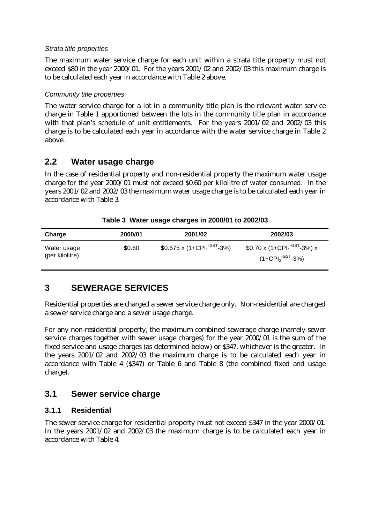#### *Strata title properties*

The maximum water service charge for each unit within a strata title property must not exceed \$80 in the year 2000/01. For the years 2001/02 and 2002/03 this maximum charge is to be calculated each year in accordance with Table 2 above.

#### *Community title properties*

The water service charge for a lot in a community title plan is the relevant water service charge in Table 1 apportioned between the lots in the community title plan in accordance with that plan's schedule of unit entitlements. For the years 2001/02 and 2002/03 this charge is to be calculated each year in accordance with the water service charge in Table 2 above.

### **2.2 Water usage charge**

In the case of residential property and non-residential property the maximum water usage charge for the year 2000/01 must not exceed \$0.60 per kilolitre of water consumed. In the years 2001/02 and 2002/03 the maximum water usage charge is to be calculated each year in accordance with Table 3.

| Charge                         | 2000/01 | 2001/02                                              | 2002/03                                                                                |
|--------------------------------|---------|------------------------------------------------------|----------------------------------------------------------------------------------------|
| Water usage<br>(per kilolitre) | \$0.60  | $$0.675 \times (1+{\text{CPI}_1}^{\text{-GST}}$ -3%) | $$0.70 \times (1 + \text{CPI}_1^{\cdot \text{GST}} - 3\%) \times$<br>$(1+CPI2-GST-3%)$ |

#### **Table 3 Water usage charges in 2000/01 to 2002/03**

# **3 SEWERAGE SERVICES**

Residential properties are charged a sewer service charge only. Non-residential are charged a sewer service charge and a sewer usage charge.

For any non-residential property, the maximum combined sewerage charge (namely sewer service charges together with sewer usage charges) for the year 2000/01 is the sum of the fixed service and usage charges (as determined below) or \$347, whichever is the greater. In the years 2001/02 and 2002/03 the maximum charge is to be calculated each year in accordance with Table 4 (\$347) or Table 6 and Table 8 (the combined fixed and usage charge).

### **3.1 Sewer service charge**

#### **3.1.1 Residential**

The sewer service charge for residential property must not exceed \$347 in the year 2000/01. In the years 2001/02 and 2002/03 the maximum charge is to be calculated each year in accordance with Table 4.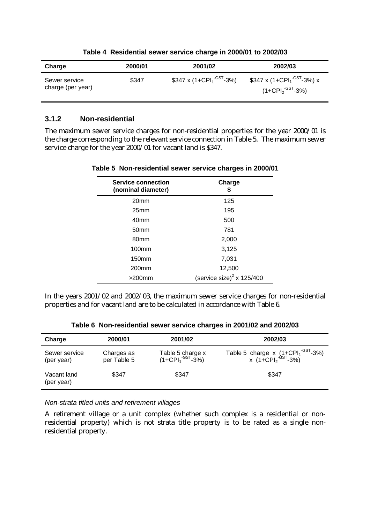| Charge                             | 2000/01 | 2001/02                                                     | 2002/03                                                                                        |
|------------------------------------|---------|-------------------------------------------------------------|------------------------------------------------------------------------------------------------|
| Sewer service<br>charge (per year) | \$347   | $$347 \times (1 + \text{CPI}_{1}^{\cdot \text{GST}} - 3\%)$ | \$347 x (1+СРІ <sub>1</sub> <sup>-GST</sup> -3%) x<br>(1+CPI <sub>2</sub> <sup>-GST</sup> -3%) |

#### **Table 4 Residential sewer service charge in 2000/01 to 2002/03**

#### **3.1.2 Non-residential**

The maximum sewer service charges for non-residential properties for the year 2000/01 is the charge corresponding to the relevant service connection in Table 5. The maximum sewer service charge for the year 2000/01 for vacant land is \$347.

| <b>Service connection</b><br>(nominal diameter) | Charge<br>5                           |
|-------------------------------------------------|---------------------------------------|
| 20 <sub>mm</sub>                                | 125                                   |
| 25 <sub>mm</sub>                                | 195                                   |
| 40 <sub>mm</sub>                                | 500                                   |
| 50 <sub>mm</sub>                                | 781                                   |
| 80 <sub>mm</sub>                                | 2,000                                 |
| 100 <sub>mm</sub>                               | 3,125                                 |
| 150 <sub>mm</sub>                               | 7,031                                 |
| 200 <sub>mm</sub>                               | 12,500                                |
| $>$ 200 $mm$                                    | (service size) <sup>2</sup> x 125/400 |

#### **Table 5 Non-residential sewer service charges in 2000/01**

In the years 2001/02 and 2002/03, the maximum sewer service charges for non-residential properties and for vacant land are to be calculated in accordance with Table 6.

| Charge                      | 2000/01                   | 2001/02                               | 2002/03                                                   |
|-----------------------------|---------------------------|---------------------------------------|-----------------------------------------------------------|
| Sewer service<br>(per year) | Charges as<br>per Table 5 | Table 5 charge x<br>$(1+CPI1-GST-3%)$ | Table 5 charge x $(1+CPI1-GST-3%)$<br>x $(1+CPI2-GST-3%)$ |
| Vacant land<br>(per year)   | \$347                     | \$347                                 | \$347                                                     |

**Table 6 Non-residential sewer service charges in 2001/02 and 2002/03**

*Non-strata titled units and retirement villages*

A retirement village or a unit complex (whether such complex is a residential or nonresidential property) which is not strata title property is to be rated as a single nonresidential property.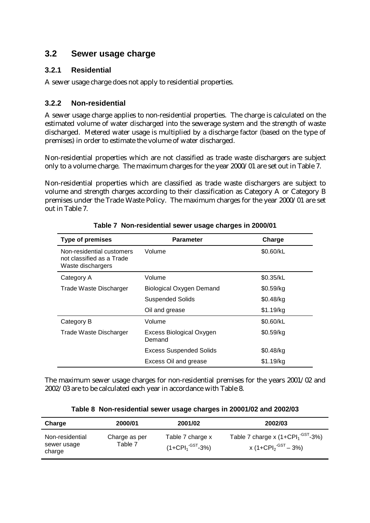### **3.2 Sewer usage charge**

### **3.2.1 Residential**

A sewer usage charge does not apply to residential properties.

### **3.2.2 Non-residential**

A sewer usage charge applies to non-residential properties. The charge is calculated on the estimated volume of water discharged into the sewerage system and the strength of waste discharged. Metered water usage is multiplied by a discharge factor (based on the type of premises) in order to estimate the volume of water discharged.

Non-residential properties which are not classified as trade waste dischargers are subject only to a volume charge. The maximum charges for the year 2000/01 are set out in Table 7.

Non-residential properties which are classified as trade waste dischargers are subject to volume and strength charges according to their classification as Category A or Category B premises under the Trade Waste Policy. The maximum charges for the year 2000/01 are set out in Table 7.

| <b>Type of premises</b>                                                     | <b>Parameter</b>                   | Charge      |
|-----------------------------------------------------------------------------|------------------------------------|-------------|
| Non-residential customers<br>not classified as a Trade<br>Waste dischargers | Volume                             | \$0.60/kL   |
| Category A                                                                  | Volume                             | \$0.35/kL   |
| Trade Waste Discharger                                                      | <b>Biological Oxygen Demand</b>    | \$0.59/kg   |
|                                                                             | <b>Suspended Solids</b>            | $$0.48$ /kg |
|                                                                             | Oil and grease                     | \$1.19/kg   |
| Category B                                                                  | Volume                             | \$0.60/kL   |
| Trade Waste Discharger                                                      | Excess Biological Oxygen<br>Demand | \$0.59/kg   |
|                                                                             | <b>Excess Suspended Solids</b>     | \$0.48/kg   |
|                                                                             | Excess Oil and grease              | \$1.19/kg   |

**Table 7 Non-residential sewer usage charges in 2000/01**

The maximum sewer usage charges for non-residential premises for the years 2001/02 and 2002/03 are to be calculated each year in accordance with Table 8.

| Charge                                   | 2000/01                  | 2001/02                                              | 2002/03                                                                                        |
|------------------------------------------|--------------------------|------------------------------------------------------|------------------------------------------------------------------------------------------------|
| Non-residential<br>sewer usage<br>charge | Charge as per<br>Table 7 | Table 7 charge x<br>(1+CPI $_1$ <sup>-GST</sup> -3%) | Table 7 charge x $(1+CPI1$ <sup>-GST</sup> -3%)<br>x (1+CPI <sub>2</sub> <sup>-GST</sup> – 3%) |

**Table 8 Non-residential sewer usage charges in 20001/02 and 2002/03**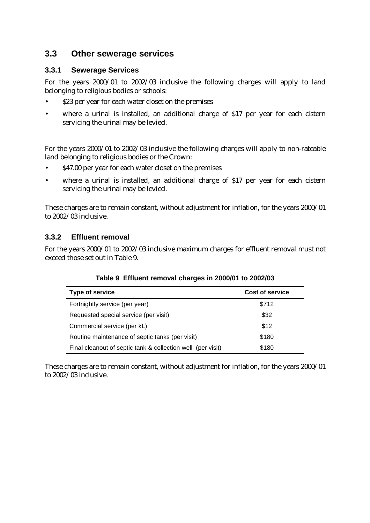### **3.3 Other sewerage services**

### **3.3.1 Sewerage Services**

For the years 2000/01 to 2002/03 inclusive the following charges will apply to land belonging to religious bodies or schools:

- \$23 per year for each water closet on the premises
- where a urinal is installed, an additional charge of \$17 per year for each cistern servicing the urinal may be levied.

For the years 2000/01 to 2002/03 inclusive the following charges will apply to non-rateable land belonging to religious bodies or the Crown:

- \$47.00 per year for each water closet on the premises
- where a urinal is installed, an additional charge of \$17 per year for each cistern servicing the urinal may be levied.

These charges are to remain constant, without adjustment for inflation, for the years 2000/01 to 2002/03 inclusive.

### **3.3.2 Effluent removal**

For the years 2000/01 to 2002/03 inclusive maximum charges for effluent removal must not exceed those set out in Table 9.

| <b>Type of service</b>                                      | <b>Cost of service</b> |
|-------------------------------------------------------------|------------------------|
| Fortnightly service (per year)                              | \$712                  |
| Requested special service (per visit)                       | \$32                   |
| Commercial service (per kL)                                 | \$12                   |
| Routine maintenance of septic tanks (per visit)             | \$180                  |
| Final cleanout of septic tank & collection well (per visit) | \$180                  |

#### **Table 9 Effluent removal charges in 2000/01 to 2002/03**

These charges are to remain constant, without adjustment for inflation, for the years 2000/01 to 2002/03 inclusive.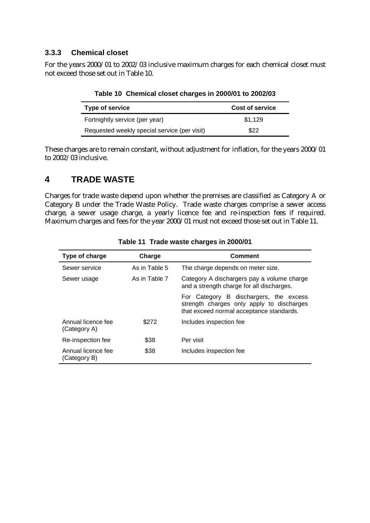### **3.3.3 Chemical closet**

For the years 2000/01 to 2002/03 inclusive maximum charges for each chemical closet must not exceed those set out in Table 10.

| Type of service                              | <b>Cost of service</b> |
|----------------------------------------------|------------------------|
| Fortnightly service (per year)               | \$1,129                |
| Requested weekly special service (per visit) | \$22                   |

**Table 10 Chemical closet charges in 2000/01 to 2002/03**

These charges are to remain constant, without adjustment for inflation, for the years 2000/01 to 2002/03 inclusive.

### **4 TRADE WASTE**

Charges for trade waste depend upon whether the premises are classified as Category A or Category B under the Trade Waste Policy. Trade waste charges comprise a sewer access charge, a sewer usage charge, a yearly licence fee and re-inspection fees if required. Maximum charges and fees for the year 2000/01 must not exceed those set out in Table 11.

| Type of charge                     | Charge        | Comment                                                                                                                         |
|------------------------------------|---------------|---------------------------------------------------------------------------------------------------------------------------------|
| Sewer service                      | As in Table 5 | The charge depends on meter size.                                                                                               |
| Sewer usage                        | As in Table 7 | Category A dischargers pay a volume charge<br>and a strength charge for all discharges.                                         |
|                                    |               | For Category B dischargers, the excess<br>strength charges only apply to discharges<br>that exceed normal acceptance standards. |
| Annual licence fee<br>(Category A) | \$272         | Includes inspection fee                                                                                                         |
| Re-inspection fee                  | \$38          | Per visit                                                                                                                       |
| Annual licence fee<br>(Category B) | \$38          | Includes inspection fee                                                                                                         |

**Table 11 Trade waste charges in 2000/01**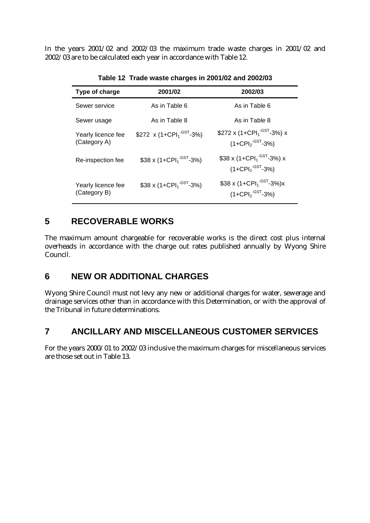In the years 2001/02 and 2002/03 the maximum trade waste charges in 2001/02 and 2002/03 are to be calculated each year in accordance with Table 12.

| Type of charge                     | 2001/02                                          | 2002/03                                                                             |
|------------------------------------|--------------------------------------------------|-------------------------------------------------------------------------------------|
| Sewer service                      | As in Table 6                                    | As in Table 6                                                                       |
| Sewer usage                        | As in Table 8                                    | As in Table 8                                                                       |
| Yearly licence fee<br>(Category A) | \$272 x (1+CPI <sub>1</sub> <sup>-GST</sup> -3%) | \$272 x (1+CPI <sub>1</sub> <sup>-GST</sup> -3%) x<br>$(1+CPI2-GST-3%)$             |
| Re-inspection fee                  | \$38 x (1+CPI <sub>1</sub> <sup>-GST</sup> -3%)  | \$38 x (1+CPI <sub>1</sub> <sup>-GST</sup> -3%) x<br>$(1+CPI2$ <sup>-GST</sup> -3%) |
| Yearly licence fee<br>(Category B) | \$38 x (1+CPI <sub>1</sub> <sup>-GST</sup> -3%)  | \$38 x (1+CPI <sub>1</sub> <sup>-GST</sup> -3%)x<br>$(1+CPI2-GST-3%)$               |

**Table 12 Trade waste charges in 2001/02 and 2002/03**

# **5 RECOVERABLE WORKS**

The maximum amount chargeable for recoverable works is the direct cost plus internal overheads in accordance with the charge out rates published annually by Wyong Shire Council.

# **6 NEW OR ADDITIONAL CHARGES**

Wyong Shire Council must not levy any new or additional charges for water, sewerage and drainage services other than in accordance with this Determination, or with the approval of the Tribunal in future determinations.

# **7 ANCILLARY AND MISCELLANEOUS CUSTOMER SERVICES**

For the years 2000/01 to 2002/03 inclusive the maximum charges for miscellaneous services are those set out in Table 13.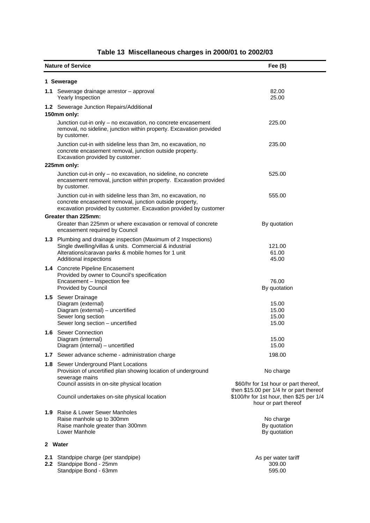|         | <b>Nature of Service</b>                                                                                                                                                                                    | Fee $($)$                                                                                                   |  |  |  |  |
|---------|-------------------------------------------------------------------------------------------------------------------------------------------------------------------------------------------------------------|-------------------------------------------------------------------------------------------------------------|--|--|--|--|
|         | 1 Sewerage                                                                                                                                                                                                  |                                                                                                             |  |  |  |  |
|         | 1.1 Sewerage drainage arrestor - approval<br>Yearly Inspection                                                                                                                                              | 82.00<br>25.00                                                                                              |  |  |  |  |
|         | 1.2 Sewerage Junction Repairs/Additional<br>150mm only:                                                                                                                                                     |                                                                                                             |  |  |  |  |
|         | Junction cut-in only - no excavation, no concrete encasement<br>removal, no sideline, junction within property. Excavation provided<br>by customer.                                                         | 225.00                                                                                                      |  |  |  |  |
|         | Junction cut-in with sideline less than 3m, no excavation, no<br>concrete encasement removal, junction outside property.<br>Excavation provided by customer.                                                | 235.00                                                                                                      |  |  |  |  |
|         | 225mm only:                                                                                                                                                                                                 |                                                                                                             |  |  |  |  |
|         | Junction cut-in only - no excavation, no sideline, no concrete<br>encasement removal, junction within property. Excavation provided<br>by customer.                                                         | 525.00                                                                                                      |  |  |  |  |
|         | Junction cut-in with sideline less than 3m, no excavation, no<br>concrete encasement removal, junction outside property,<br>excavation provided by customer. Excavation provided by customer                | 555.00                                                                                                      |  |  |  |  |
|         | Greater than 225mm:<br>Greater than 225mm or where excavation or removal of concrete<br>encasement required by Council                                                                                      | By quotation                                                                                                |  |  |  |  |
|         | 1.3 Plumbing and drainage inspection (Maximum of 2 Inspections)<br>Single dwelling/villas & units. Commercial & industrial<br>Alterations/caravan parks & mobile homes for 1 unit<br>Additional inspections | 121.00<br>61.00<br>45.00                                                                                    |  |  |  |  |
|         | 1.4 Concrete Pipeline Encasement<br>Provided by owner to Council's specification<br>Encasement - Inspection fee<br>Provided by Council                                                                      | 76.00<br>By quotation                                                                                       |  |  |  |  |
|         | 1.5 Sewer Drainage<br>Diagram (external)<br>Diagram (external) - uncertified<br>Sewer long section<br>Sewer long section - uncertified                                                                      | 15.00<br>15.00<br>15.00<br>15.00                                                                            |  |  |  |  |
|         | 1.6 Sewer Connection<br>Diagram (internal)<br>Diagram (internal) - uncertified                                                                                                                              | 15.00<br>15.00                                                                                              |  |  |  |  |
|         | 1.7 Sewer advance scheme - administration charge                                                                                                                                                            | 198.00                                                                                                      |  |  |  |  |
|         | 1.8 Sewer Underground Plant Locations<br>Provision of uncertified plan showing location of underground<br>sewerage mains<br>Council assists in on-site physical location                                    | No charge<br>\$60/hr for 1st hour or part thereof,                                                          |  |  |  |  |
|         | Council undertakes on-site physical location                                                                                                                                                                | then \$15.00 per 1/4 hr or part thereof<br>\$100/hr for 1st hour, then \$25 per 1/4<br>hour or part thereof |  |  |  |  |
|         | 1.9 Raise & Lower Sewer Manholes<br>Raise manhole up to 300mm<br>Raise manhole greater than 300mm<br>Lower Manhole                                                                                          | No charge<br>By quotation<br>By quotation                                                                   |  |  |  |  |
| 2 Water |                                                                                                                                                                                                             |                                                                                                             |  |  |  |  |
| 2.1     | Standpipe charge (per standpipe)<br>2.2 Standpipe Bond - 25mm<br>Standpipe Bond - 63mm                                                                                                                      | As per water tariff<br>309.00<br>595.00                                                                     |  |  |  |  |

# **Table 13 Miscellaneous charges in 2000/01 to 2002/03**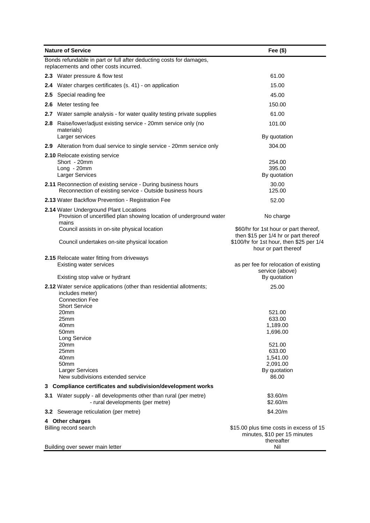| <b>Nature of Service</b>                                                                                      |                                                                                                                                                         | Fee $($)$                                                                                                |
|---------------------------------------------------------------------------------------------------------------|---------------------------------------------------------------------------------------------------------------------------------------------------------|----------------------------------------------------------------------------------------------------------|
| Bonds refundable in part or full after deducting costs for damages,<br>replacements and other costs incurred. |                                                                                                                                                         |                                                                                                          |
|                                                                                                               | 2.3 Water pressure & flow test                                                                                                                          | 61.00                                                                                                    |
|                                                                                                               | 2.4 Water charges certificates (s. 41) - on application                                                                                                 | 15.00                                                                                                    |
|                                                                                                               | 2.5 Special reading fee                                                                                                                                 | 45.00                                                                                                    |
| 2.6                                                                                                           | Meter testing fee                                                                                                                                       | 150.00                                                                                                   |
|                                                                                                               | 2.7 Water sample analysis - for water quality testing private supplies                                                                                  | 61.00                                                                                                    |
| 2.8                                                                                                           | Raise/lower/adjust existing service - 20mm service only (no<br>materials)                                                                               | 101.00                                                                                                   |
|                                                                                                               | Larger services                                                                                                                                         | By quotation                                                                                             |
|                                                                                                               | 2.9 Alteration from dual service to single service - 20mm service only                                                                                  | 304.00                                                                                                   |
|                                                                                                               | 2.10 Relocate existing service<br>Short - 20mm<br>Long - 20mm<br>Larger Services                                                                        | 254.00<br>395.00<br>By quotation                                                                         |
|                                                                                                               | <b>2.11</b> Reconnection of existing service - During business hours<br>Reconnection of existing service - Outside business hours                       | 30.00<br>125.00                                                                                          |
|                                                                                                               | 2.13 Water Backflow Prevention - Registration Fee                                                                                                       | 52.00                                                                                                    |
|                                                                                                               | 2.14 Water Underground Plant Locations<br>Provision of uncertified plan showing location of underground water<br>mains                                  | No charge                                                                                                |
|                                                                                                               | Council assists in on-site physical location                                                                                                            | \$60/hr for 1st hour or part thereof,                                                                    |
|                                                                                                               | Council undertakes on-site physical location                                                                                                            | then \$15 per 1/4 hr or part thereof<br>\$100/hr for 1st hour, then \$25 per 1/4<br>hour or part thereof |
|                                                                                                               | <b>2.15 Relocate water fitting from driveways</b><br><b>Existing water services</b>                                                                     | as per fee for relocation of existing<br>service (above)                                                 |
|                                                                                                               | Existing stop valve or hydrant                                                                                                                          | By quotation                                                                                             |
|                                                                                                               | 2.12 Water service applications (other than residential allotments;<br>includes meter)<br><b>Connection Fee</b><br><b>Short Service</b><br>20mm<br>25mm | 25.00<br>521.00<br>633.00                                                                                |
|                                                                                                               | 40mm                                                                                                                                                    | 1,189.00                                                                                                 |
|                                                                                                               | 50mm<br>Long Service                                                                                                                                    | 1,696.00                                                                                                 |
|                                                                                                               | 20mm<br>25mm<br>40mm<br>50mm<br><b>Larger Services</b><br>New subdivisions extended service                                                             | 521.00<br>633.00<br>1,541.00<br>2,091.00<br>By quotation<br>86.00                                        |
|                                                                                                               | 3 Compliance certificates and subdivision/development works                                                                                             |                                                                                                          |
|                                                                                                               | 3.1 Water supply - all developments other than rural (per metre)<br>- rural developments (per metre)                                                    | \$3.60/m<br>\$2.60/m                                                                                     |
|                                                                                                               | 3.2 Sewerage reticulation (per metre)                                                                                                                   | \$4.20/m                                                                                                 |
|                                                                                                               | 4 Other charges<br>Billing record search<br>Building over sewer main letter                                                                             | \$15.00 plus time costs in excess of 15<br>minutes, \$10 per 15 minutes<br>thereafter<br>Nil             |
|                                                                                                               |                                                                                                                                                         |                                                                                                          |